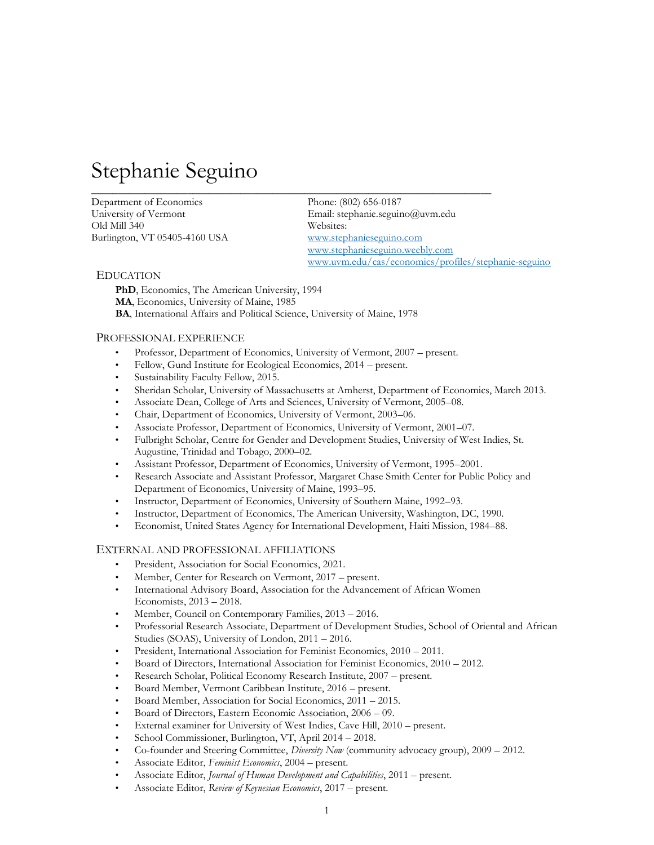# Stephanie Seguino

Department of Economics Phone: (802) 656-0187 Old Mill 340 Websites: Burlington, VT 05405-4160 USA [www.stephanieseguino.com](http://www.stephanieseguino.com/) 

University of Vermont Email: stephanie.seguino@uvm.edu [www.stephanieseguino.weebly.com](http://www.stephanieseguino.weebly.com/) www.uvm.edu/cas/economics/profiles/stephanie-seguino

#### EDUCATION

**PhD**, Economics, The American University, 1994 **MA**, Economics, University of Maine, 1985 **BA**, International Affairs and Political Science, University of Maine, 1978

#### PROFESSIONAL EXPERIENCE

• Professor, Department of Economics, University of Vermont, 2007 – present.

 $\overline{\phantom{a}}$  , and the set of the set of the set of the set of the set of the set of the set of the set of the set of the set of the set of the set of the set of the set of the set of the set of the set of the set of the s

- Fellow, Gund Institute for Ecological Economics, 2014 present.
- Sustainability Faculty Fellow, 2015.
- Sheridan Scholar, University of Massachusetts at Amherst, Department of Economics, March 2013.
- Associate Dean, College of Arts and Sciences, University of Vermont, 2005–08.
- Chair, Department of Economics, University of Vermont, 2003–06.
- Associate Professor, Department of Economics, University of Vermont, 2001–07.
- Fulbright Scholar, Centre for Gender and Development Studies, University of West Indies, St. Augustine, Trinidad and Tobago, 2000–02.
- Assistant Professor, Department of Economics, University of Vermont, 1995–2001.
- Research Associate and Assistant Professor, Margaret Chase Smith Center for Public Policy and Department of Economics, University of Maine, 1993–95.
- Instructor, Department of Economics, University of Southern Maine, 1992–93.
- Instructor, Department of Economics, The American University, Washington, DC, 1990.
- Economist, United States Agency for International Development, Haiti Mission, 1984–88.

#### EXTERNAL AND PROFESSIONAL AFFILIATIONS

- President, Association for Social Economics, 2021.
- Member, Center for Research on Vermont, 2017 present.
- International Advisory Board, Association for the Advancement of African Women Economists, 2013 – 2018.
- Member, Council on Contemporary Families,  $2013 2016$ .
- Professorial Research Associate, Department of Development Studies, School of Oriental and African Studies (SOAS), University of London, 2011 – 2016.
- President, International Association for Feminist Economics, 2010 2011.
- Board of Directors, International Association for Feminist Economics, 2010 2012.
- Research Scholar, Political Economy Research Institute, 2007 present.
- Board Member, Vermont Caribbean Institute, 2016 present.
- Board Member, Association for Social Economics, 2011 2015.
- Board of Directors, Eastern Economic Association, 2006 09.
- External examiner for University of West Indies, Cave Hill, 2010 present.
- School Commissioner, Burlington, VT, April 2014 2018.
- Co-founder and Steering Committee, *Diversity Now* (community advocacy group), 2009 2012.
- Associate Editor, *Feminist Economics*, 2004 present.
- Associate Editor, *Journal of Human Development and Capabilities*, 2011 present.
- Associate Editor, *Review of Keynesian Economics*, 2017 present.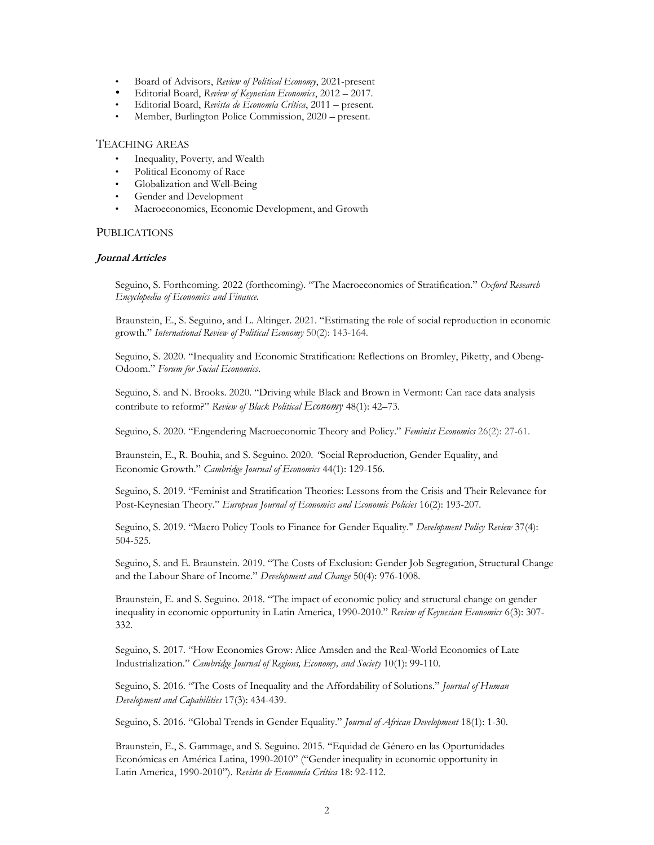- Board of Advisors, *Review of Political Economy*, 2021-present
- Editorial Board, *Review of Keynesian Economics*, 2012 2017.
- Editorial Board, *Revista de Economía Crítica*, 2011 present.
- Member, Burlington Police Commission, 2020 present.

# TEACHING AREAS

- Inequality, Poverty, and Wealth
- Political Economy of Race
- Globalization and Well-Being
- Gender and Development
- Macroeconomics, Economic Development, and Growth

#### PUBLICATIONS

#### **Journal Articles**

Seguino, S. Forthcoming. 2022 (forthcoming). "The Macroeconomics of Stratification." *Oxford Research Encyclopedia of Economics and Finance.*

Braunstein, E., S. Seguino, and L. Altinger. 2021. "Estimating the role of social reproduction in economic growth." *International Review of Political Economy* 50(2): 143-164.

Seguino, S. 2020. "Inequality and Economic Stratification: Reflections on Bromley, Piketty, and Obeng-Odoom." *Forum for Social Economics*.

Seguino, S. and N. Brooks. 2020. "Driving while Black and Brown in Vermont: Can race data analysis contribute to reform?" *Review of Black Political Economy* 48(1): 42–73.

Seguino, S. 2020. "Engendering Macroeconomic Theory and Policy." *Feminist Economics* 26(2): 27-61.

Braunstein, E., R. Bouhia, and S. Seguino. 2020. *"*Social Reproduction, Gender Equality, and Economic Growth." *Cambridge Journal of Economics* 44(1): 129-156.

Seguino, S. 2019. "Feminist and Stratification Theories: Lessons from the Crisis and Their Relevance for Post-Keynesian Theory." *European Journal of Economics and Economic Policies* 16(2): 193-207*.*

Seguino, S. 2019. "Macro Policy Tools to Finance for Gender Equality." *Development Policy Review* 37(4): 504-525*.*

Seguino, S. and E. Braunstein. 2019. "The Costs of Exclusion: Gender Job Segregation, Structural Change and the Labour Share of Income." *Development and Change* 50(4): 976-1008.

Braunstein, E. and S. Seguino. 2018. "The impact of economic policy and structural change on gender inequality in economic opportunity in Latin America, 1990-2010." *Review of Keynesian Economics* 6(3): 307- 332.

Seguino, S. 2017. "How Economies Grow: Alice Amsden and the Real-World Economics of Late Industrialization." *Cambridge Journal of Regions, Economy, and Society* 10(1): 99-110.

Seguino, S. 2016. "The Costs of Inequality and the Affordability of Solutions." *Journal of Human Development and Capabilities* 17(3): 434-439.

Seguino, S. 2016. "Global Trends in Gender Equality." *Journal of African Development* 18(1): 1-30.

Braunstein, E., S. Gammage, and S. Seguino. 2015. "Equidad de Género en las Oportunidades Económicas en América Latina, 1990-2010" ("Gender inequality in economic opportunity in Latin America, 1990-2010"). *Revista de Economía Crítica* 18: 92-112*.*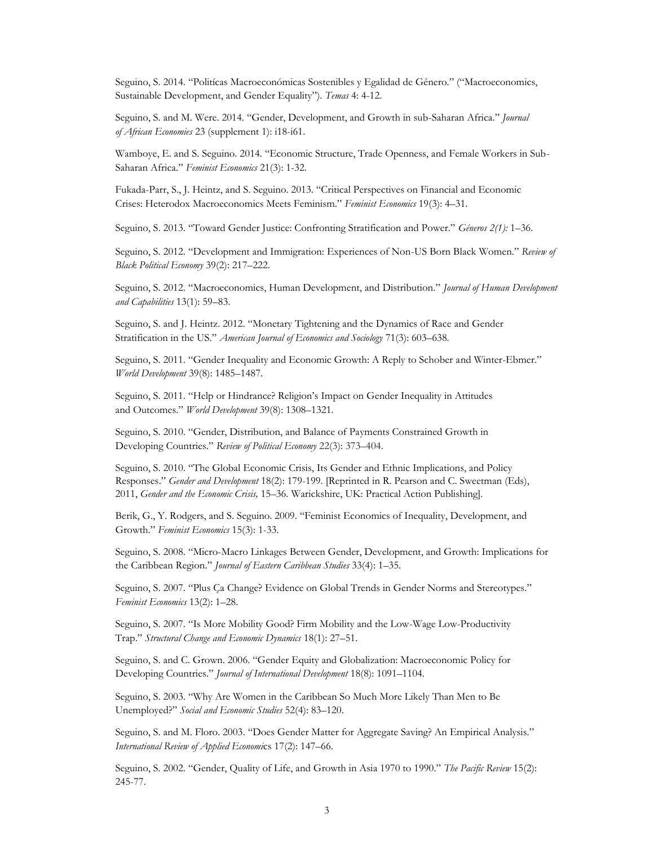Seguino, S. 2014. "Politícas Macroeconómicas Sostenibles y Egalidad de Género." ("Macroeconomics, Sustainable Development, and Gender Equality"). *Temas* 4: 4-12.

Seguino, S. and M. Were. 2014. "Gender, Development, and Growth in sub-Saharan Africa." *Journal of African Economies* 23 (supplement 1): i18-i61.

Wamboye, E. and S. Seguino. 2014. "Economic Structure, Trade Openness, and Female Workers in Sub-Saharan Africa." *Feminist Economics* 21(3): 1-32.

Fukada-Parr, S., J. Heintz, and S. Seguino. 2013. "Critical Perspectives on Financial and Economic Crises: Heterodox Macroeconomics Meets Feminism." *Feminist Economics* 19(3): 4–31.

Seguino, S. 2013. "Toward Gender Justice: Confronting Stratification and Power." *Géneros 2(1):* 1–36.

Seguino, S. 2012. "Development and Immigration: Experiences of Non-US Born Black Women." *Review of Black Political Economy* 39(2): 217–222.

Seguino, S. 2012. "Macroeconomics, Human Development, and Distribution." *Journal of Human Development and Capabilities* 13(1): 59–83.

Seguino, S. and J. Heintz. 2012. "Monetary Tightening and the Dynamics of Race and Gender Stratification in the US." *American Journal of Economics and Sociology* 71(3): 603–638*.*

Seguino, S. 2011. "Gender Inequality and Economic Growth: A Reply to Schober and Winter-Ebmer." *World Development* 39(8): 1485–1487.

Seguino, S. 2011. "Help or Hindrance? Religion's Impact on Gender Inequality in Attitudes and Outcomes." *World Development* 39(8): 1308–1321.

Seguino, S. 2010. "Gender, Distribution, and Balance of Payments Constrained Growth in Developing Countries." *Review of Political Economy* 22(3): 373–404.

Seguino, S. 2010. "The Global Economic Crisis, Its Gender and Ethnic Implications, and Policy Responses." *Gender and Development* 18(2): 179-199. [Reprinted in R. Pearson and C. Sweetman (Eds), 2011, *Gender and the Economic Crisis,* 15–36. Warickshire, UK: Practical Action Publishing].

Berik, G., Y. Rodgers, and S. Seguino. 2009. "Feminist Economics of Inequality, Development, and Growth." *Feminist Economics* 15(3): 1-33.

Seguino, S. 2008. "Micro-Macro Linkages Between Gender, Development, and Growth: Implications for the Caribbean Region." *Journal of Eastern Caribbean Studies* 33(4): 1–35.

Seguino, S. 2007. "Plus Ça Change? Evidence on Global Trends in Gender Norms and Stereotypes." *Feminist Economics* 13(2): 1–28.

Seguino, S. 2007. "Is More Mobility Good? Firm Mobility and the Low-Wage Low-Productivity Trap." *Structural Change and Economic Dynamics* 18(1): 27–51.

Seguino, S. and C. Grown. 2006. "Gender Equity and Globalization: Macroeconomic Policy for Developing Countries." *Journal of International Development* 18(8): 1091–1104.

Seguino, S. 2003. "Why Are Women in the Caribbean So Much More Likely Than Men to Be Unemployed?" *Social and Economic Studies* 52(4): 83–120.

Seguino, S. and M. Floro. 2003. "Does Gender Matter for Aggregate Saving? An Empirical Analysis." *International Review of Applied Economi*cs 17(2): 147–66.

Seguino, S. 2002. "Gender, Quality of Life, and Growth in Asia 1970 to 1990." *The Pacific Review* 15(2): 245-77.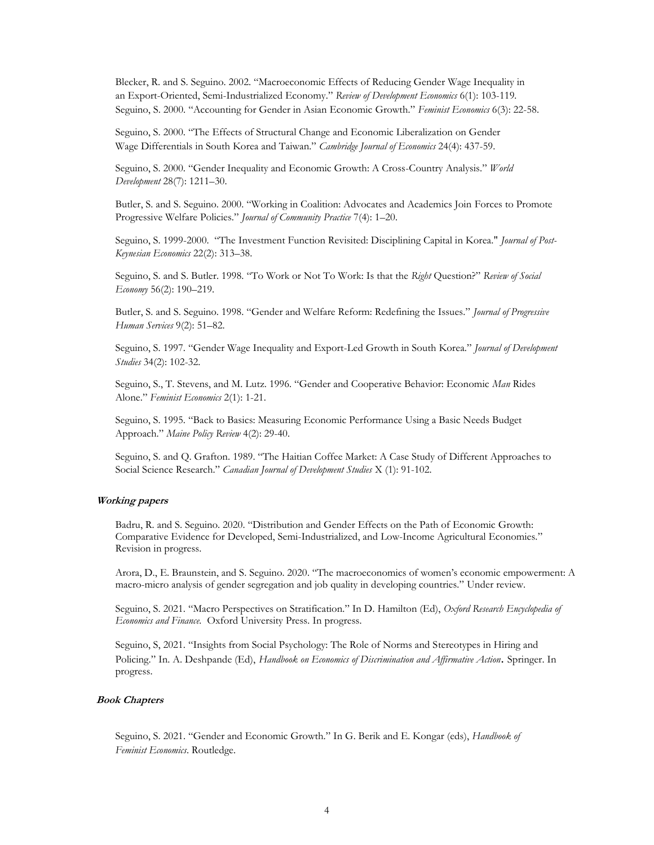Blecker, R. and S. Seguino. 2002. "Macroeconomic Effects of Reducing Gender Wage Inequality in an Export-Oriented, Semi-Industrialized Economy." *Review of Development Economics* 6(1): 103-119*.* Seguino, S. 2000. "Accounting for Gender in Asian Economic Growth." *Feminist Economics* 6(3): 22-58.

Seguino, S. 2000. "The Effects of Structural Change and Economic Liberalization on Gender Wage Differentials in South Korea and Taiwan." *Cambridge Journal of Economics* 24(4): 437-59.

Seguino, S. 2000. "Gender Inequality and Economic Growth: A Cross-Country Analysis." *World Development* 28(7): 1211–30.

Butler, S. and S. Seguino. 2000. "Working in Coalition: Advocates and Academics Join Forces to Promote Progressive Welfare Policies." *Journal of Community Practice* 7(4): 1–20.

Seguino, S. 1999-2000. "The Investment Function Revisited: Disciplining Capital in Korea." *Journal of Post-Keynesian Economics* 22(2): 313–38.

Seguino, S. and S. Butler. 1998. "To Work or Not To Work: Is that the *Right* Question?" *Review of Social Economy* 56(2): 190–219.

Butler, S. and S. Seguino. 1998. "Gender and Welfare Reform: Redefining the Issues." *Journal of Progressive Human Services* 9(2): 51–82.

Seguino, S. 1997. "Gender Wage Inequality and Export-Led Growth in South Korea." *Journal of Development Studies* 34(2): 102-32.

Seguino, S., T. Stevens, and M. Lutz. 1996. "Gender and Cooperative Behavior: Economic *Man* Rides Alone." *Feminist Economics* 2(1): 1-21.

Seguino, S. 1995. "Back to Basics: Measuring Economic Performance Using a Basic Needs Budget Approach." *Maine Policy Review* 4(2): 29-40.

Seguino, S. and Q. Grafton. 1989. "The Haitian Coffee Market: A Case Study of Different Approaches to Social Science Research." *Canadian Journal of Development Studies* X (1): 91-102.

#### **Working papers**

Badru, R. and S. Seguino. 2020. "Distribution and Gender Effects on the Path of Economic Growth: Comparative Evidence for Developed, Semi-Industrialized, and Low-Income Agricultural Economies." Revision in progress.

Arora, D., E. Braunstein, and S. Seguino. 2020. "The macroeconomics of women's economic empowerment: A macro-micro analysis of gender segregation and job quality in developing countries." Under review.

Seguino, S. 2021. "Macro Perspectives on Stratification." In D. Hamilton (Ed), *Oxford Research Encyclopedia of Economics and Finance.* Oxford University Press. In progress.

Seguino, S, 2021. "Insights from Social Psychology: The Role of Norms and Stereotypes in Hiring and Policing." In. A. Deshpande (Ed), *Handbook on Economics of Discrimination and Affirmative Action*. Springer. In progress.

#### **Book Chapters**

Seguino, S. 2021. "Gender and Economic Growth." In G. Berik and E. Kongar (eds), *Handbook of Feminist Economics*. Routledge.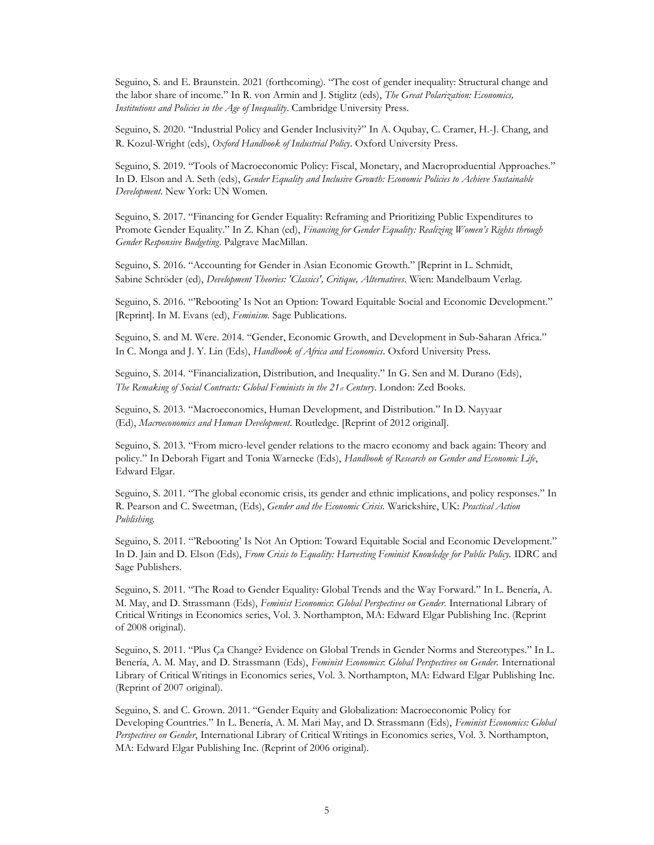Seguino, S. and E. Braunstein. 2021 (forthcoming). "The cost of gender inequality: Structural change and the labor share of income." In R. von Armin and J. Stiglitz (eds), *The Great Polarization: Economics, Institutions and Policies in the Age of Inequality*. Cambridge University Press.

Seguino, S. 2020. "Industrial Policy and Gender Inclusivity?" In A. Oqubay, C. Cramer, H.-J. Chang, and R. Kozul-Wright (eds), *Oxford Handbook of Industrial Policy*. Oxford University Press.

Seguino, S. 2019. "Tools of Macroeconomic Policy: Fiscal, Monetary, and Macroproduential Approaches." In D. Elson and A. Seth (eds), *Gender Equality and Inclusive Growth: Economic Policies to Achieve Sustainable Development*. New York: UN Women.

Seguino, S. 2017. "Financing for Gender Equality: Reframing and Prioritizing Public Expenditures to Promote Gender Equality." In Z. Khan (ed), *Financing for Gender Equality: Realizing Women's Rights through Gender Responsive Budgeting*. Palgrave MacMillan.

Seguino, S. 2016. "Accounting for Gender in Asian Economic Growth." [Reprint in L. Schmidt, Sabine Schröder (ed), *Development Theories: 'Classics', Critique, Alternatives*. Wien: Mandelbaum Verlag.

Seguino, S. 2016. "'Rebooting' Is Not an Option: Toward Equitable Social and Economic Development." [Reprint]. In M. Evans (ed), *Feminism.* Sage Publications.

Seguino, S. and M. Were. 2014. "Gender, Economic Growth, and Development in Sub-Saharan Africa." In C. Monga and J. Y. Lin (Eds), *Handbook of Africa and Economics*. Oxford University Press.

Seguino, S. 2014. "Financialization, Distribution, and Inequality." In G. Sen and M. Durano (Eds), *The Remaking of Social Contracts: Global Feminists in the 21st Century*. London: Zed Books.

Seguino, S. 2013. "Macroeconomics, Human Development, and Distribution." In D. Nayyaar (Ed), *Macroeconomics and Human Development*. Routledge. [Reprint of 2012 original].

Seguino, S. 2013. "From micro-level gender relations to the macro economy and back again: Theory and policy." In Deborah Figart and Tonia Warnecke (Eds), *Handbook of Research on Gender and Economic Life*, Edward Elgar.

Seguino, S. 2011. "The global economic crisis, its gender and ethnic implications, and policy responses." In R. Pearson and C. Sweetman, (Eds), *Gender and the Economic Crisis.* Warickshire, UK: *Practical Action Publishing.*

Seguino, S. 2011. "'Rebooting' Is Not An Option: Toward Equitable Social and Economic Development." In D. Jain and D. Elson (Eds), *From Crisis to Equality: Harvesting Feminist Knowledge for Public Policy.* IDRC and Sage Publishers.

Seguino, S. 2011. "The Road to Gender Equality: Global Trends and the Way Forward." In L. Benería, A. M. May, and D. Strassmann (Eds), *Feminist Economics*: *Global Perspectives on Gender.* International Library of Critical Writings in Economics series, Vol. 3. Northampton, MA: Edward Elgar Publishing Inc. (Reprint of 2008 original).

Seguino, S. 2011. "Plus Ça Change? Evidence on Global Trends in Gender Norms and Stereotypes." In L. Benería, A. M. May, and D. Strassmann (Eds), *Feminist Economics*: *Global Perspectives on Gender.* International Library of Critical Writings in Economics series, Vol. 3. Northampton, MA: Edward Elgar Publishing Inc. (Reprint of 2007 original).

Seguino, S. and C. Grown. 2011. "Gender Equity and Globalization: Macroeconomic Policy for Developing Countries." In L. Benería, A. M. Mari May, and D. Strassmann (Eds), *Feminist Economics: Global Perspectives on Gender*, International Library of Critical Writings in Economics series, Vol. 3. Northampton, MA: Edward Elgar Publishing Inc. (Reprint of 2006 original).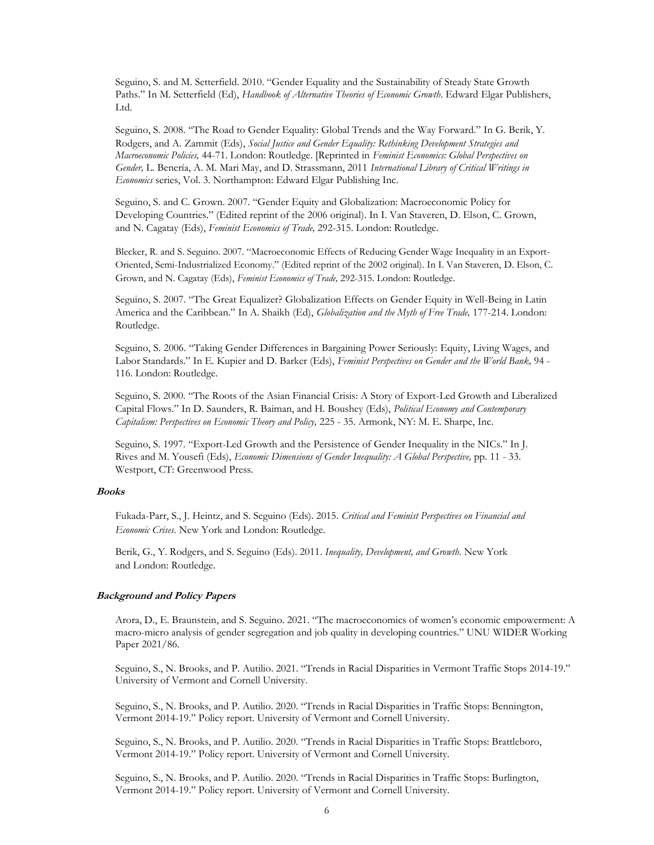Seguino, S. and M. Setterfield. 2010. "Gender Equality and the Sustainability of Steady State Growth Paths." In M. Setterfield (Ed), *Handbook of Alternative Theories of Economic Growth*. Edward Elgar Publishers, Ltd.

Seguino, S. 2008. "The Road to Gender Equality: Global Trends and the Way Forward." In G. Berik, Y. Rodgers, and A. Zammit (Eds), *Social Justice and Gender Equality: Rethinking Development Strategies and Macroeconomic Policies,* 44-71. London: Routledge. [Reprinted in *Feminist Economics: Global Perspectives on Gender,* L. Benería, A. M. Mari May, and D. Strassmann, 2011 *International Library of Critical Writings in Economics* series, Vol. 3. Northampton: Edward Elgar Publishing Inc.

Seguino, S. and C. Grown. 2007. "Gender Equity and Globalization: Macroeconomic Policy for Developing Countries." (Edited reprint of the 2006 original). In I. Van Staveren, D. Elson, C. Grown, and N. Cagatay (Eds), *Feminist Economics of Trade,* 292-315. London: Routledge.

Blecker, R. and S. Seguino. 2007. "Macroeconomic Effects of Reducing Gender Wage Inequality in an Export-Oriented, Semi-Industrialized Economy." (Edited reprint of the 2002 original). In I. Van Staveren, D. Elson, C. Grown, and N. Cagatay (Eds), *Feminist Economics of Trade,* 292-315. London: Routledge.

Seguino, S. 2007. "The Great Equalizer? Globalization Effects on Gender Equity in Well-Being in Latin America and the Caribbean." In A. Shaikh (Ed), *Globalization and the Myth of Free Trade,* 177-214. London: Routledge.

Seguino, S. 2006. "Taking Gender Differences in Bargaining Power Seriously: Equity, Living Wages, and Labor Standards." In E. Kupier and D. Barker (Eds), *Feminist Perspectives on Gender and the World Bank,* 94 - 116. London: Routledge.

Seguino, S. 2000. "The Roots of the Asian Financial Crisis: A Story of Export-Led Growth and Liberalized Capital Flows." In D. Saunders, R. Baiman, and H. Boushey (Eds), *Political Economy and Contemporary Capitalism: Perspectives on Economic Theory and Policy,* 225 - 35. Armonk, NY: M. E. Sharpe, Inc.

Seguino, S. 1997. "Export-Led Growth and the Persistence of Gender Inequality in the NICs." In J. Rives and M. Yousefi (Eds), *Economic Dimensions of Gender Inequality: A Global Perspective,* pp. 11 - 33. Westport, CT: Greenwood Press.

#### **Books**

Fukada-Parr, S., J. Heintz, and S. Seguino (Eds). 2015. *Critical and Feminist Perspectives on Financial and Economic Crises.* New York and London: Routledge.

Berik, G., Y. Rodgers, and S. Seguino (Eds). 2011. *Inequality, Development, and Growth.* New York and London: Routledge.

#### **Background and Policy Papers**

Arora, D., E. Braunstein, and S. Seguino. 2021. "The macroeconomics of women's economic empowerment: A macro-micro analysis of gender segregation and job quality in developing countries." UNU WIDER Working Paper 2021/86.

Seguino, S., N. Brooks, and P. Autilio. 2021. "Trends in Racial Disparities in Vermont Traffic Stops 2014-19." University of Vermont and Cornell University.

Seguino, S., N. Brooks, and P. Autilio. 2020. "Trends in Racial Disparities in Traffic Stops: Bennington, Vermont 2014-19." Policy report. University of Vermont and Cornell University.

Seguino, S., N. Brooks, and P. Autilio. 2020. "Trends in Racial Disparities in Traffic Stops: Brattleboro, Vermont 2014-19." Policy report. University of Vermont and Cornell University.

Seguino, S., N. Brooks, and P. Autilio. 2020. "Trends in Racial Disparities in Traffic Stops: Burlington, Vermont 2014-19." Policy report. University of Vermont and Cornell University.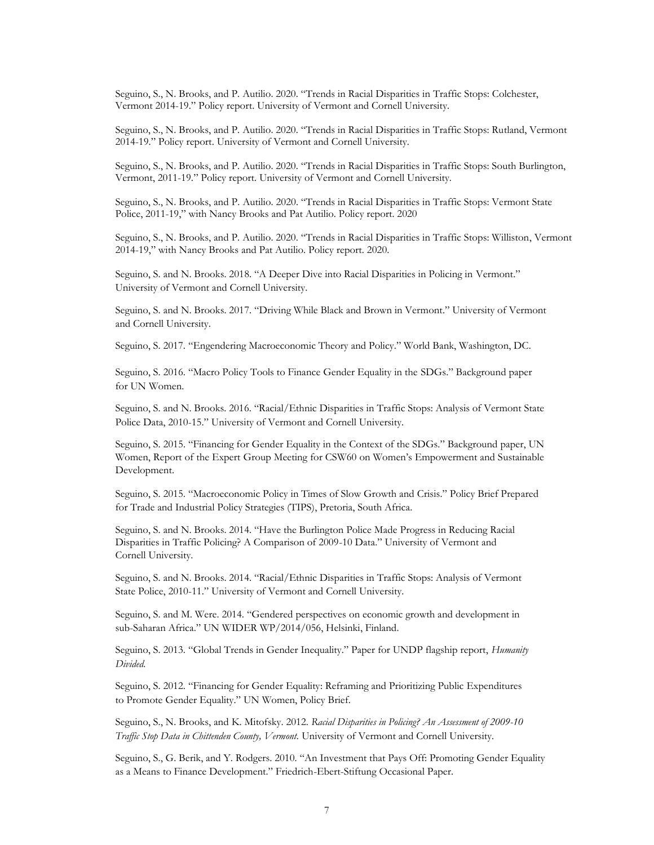Seguino, S., N. Brooks, and P. Autilio. 2020. "Trends in Racial Disparities in Traffic Stops: Colchester, Vermont 2014-19." Policy report. University of Vermont and Cornell University.

Seguino, S., N. Brooks, and P. Autilio. 2020. "Trends in Racial Disparities in Traffic Stops: Rutland, Vermont 2014-19." Policy report. University of Vermont and Cornell University.

Seguino, S., N. Brooks, and P. Autilio. 2020. "Trends in Racial Disparities in Traffic Stops: South Burlington, Vermont, 2011-19." Policy report. University of Vermont and Cornell University.

Seguino, S., N. Brooks, and P. Autilio. 2020. "Trends in Racial Disparities in Traffic Stops: Vermont State Police, 2011-19," with Nancy Brooks and Pat Autilio. Policy report. 2020

Seguino, S., N. Brooks, and P. Autilio. 2020. "Trends in Racial Disparities in Traffic Stops: Williston, Vermont 2014-19," with Nancy Brooks and Pat Autilio. Policy report. 2020.

Seguino, S. and N. Brooks. 2018. "A Deeper Dive into Racial Disparities in Policing in Vermont." University of Vermont and Cornell University.

Seguino, S. and N. Brooks. 2017. "Driving While Black and Brown in Vermont." University of Vermont and Cornell University.

Seguino, S. 2017. "Engendering Macroeconomic Theory and Policy." World Bank, Washington, DC.

Seguino, S. 2016. "Macro Policy Tools to Finance Gender Equality in the SDGs." Background paper for UN Women.

Seguino, S. and N. Brooks. 2016. "Racial/Ethnic Disparities in Traffic Stops: Analysis of Vermont State Police Data, 2010-15." University of Vermont and Cornell University.

Seguino, S. 2015. "Financing for Gender Equality in the Context of the SDGs." Background paper, UN Women, Report of the Expert Group Meeting for CSW60 on Women's Empowerment and Sustainable Development.

Seguino, S. 2015. "Macroeconomic Policy in Times of Slow Growth and Crisis." Policy Brief Prepared for Trade and Industrial Policy Strategies (TIPS), Pretoria, South Africa.

Seguino, S. and N. Brooks. 2014. "Have the Burlington Police Made Progress in Reducing Racial Disparities in Traffic Policing? A Comparison of 2009-10 Data." University of Vermont and Cornell University.

Seguino, S. and N. Brooks. 2014. "Racial/Ethnic Disparities in Traffic Stops: Analysis of Vermont State Police, 2010-11." University of Vermont and Cornell University.

Seguino, S. and M. Were. 2014. "Gendered perspectives on economic growth and development in sub-Saharan Africa." UN WIDER WP/2014/056, Helsinki, Finland.

Seguino, S. 2013. "Global Trends in Gender Inequality." Paper for UNDP flagship report, *Humanity Divided.*

Seguino, S. 2012. "Financing for Gender Equality: Reframing and Prioritizing Public Expenditures to Promote Gender Equality." UN Women, Policy Brief.

Seguino, S., N. Brooks, and K. Mitofsky. 2012. *Racial Disparities in Policing? An Assessment of 2009-10 Traffic Stop Data in Chittenden County, Vermont.* University of Vermont and Cornell University.

Seguino, S., G. Berik, and Y. Rodgers. 2010. "An Investment that Pays Off: Promoting Gender Equality as a Means to Finance Development." Friedrich-Ebert-Stiftung Occasional Paper.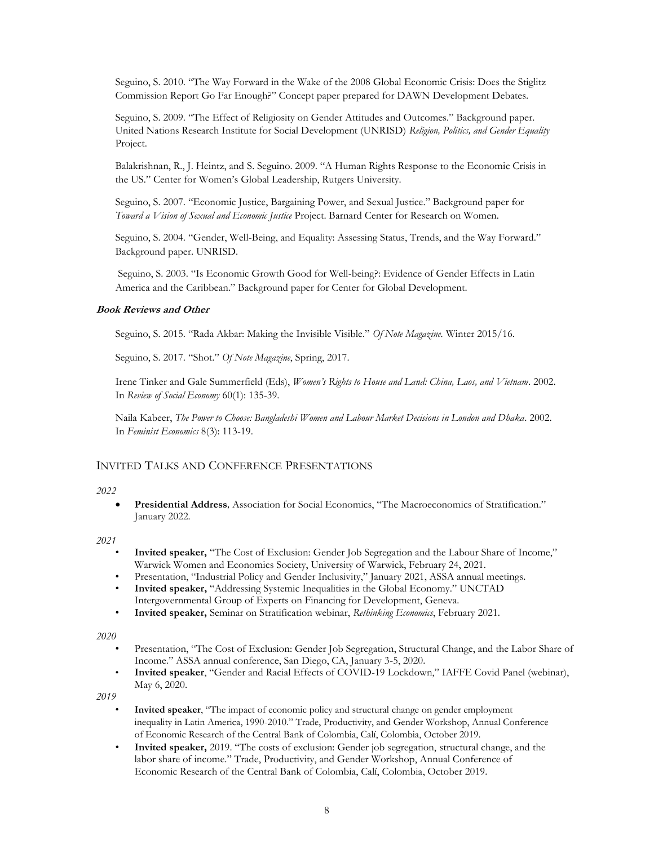Seguino, S. 2010. "The Way Forward in the Wake of the 2008 Global Economic Crisis: Does the Stiglitz Commission Report Go Far Enough?" Concept paper prepared for DAWN Development Debates.

Seguino, S. 2009. "The Effect of Religiosity on Gender Attitudes and Outcomes." Background paper. United Nations Research Institute for Social Development (UNRISD) *Religion, Politics, and Gender Equality* Project.

Balakrishnan, R., J. Heintz, and S. Seguino. 2009. "A Human Rights Response to the Economic Crisis in the US." Center for Women's Global Leadership, Rutgers University.

Seguino, S. 2007. "Economic Justice, Bargaining Power, and Sexual Justice." Background paper for *Toward a Vision of Sexual and Economic Justice* Project. Barnard Center for Research on Women.

Seguino, S. 2004. "Gender, Well-Being, and Equality: Assessing Status, Trends, and the Way Forward." Background paper. UNRISD.

Seguino, S. 2003. "Is Economic Growth Good for Well-being?: Evidence of Gender Effects in Latin America and the Caribbean." Background paper for Center for Global Development.

#### **Book Reviews and Other**

Seguino, S. 2015. "Rada Akbar: Making the Invisible Visible." *Of Note Magazine.* Winter 2015/16.

Seguino, S. 2017. "Shot." *Of Note Magazine*, Spring, 2017.

Irene Tinker and Gale Summerfield (Eds), *Women's Rights to House and Land: China, Laos, and Vietnam*. 2002. In *Review of Social Economy* 60(1): 135-39.

Naila Kabeer, *The Power to Choose: Bangladeshi Women and Labour Market Decisions in London and Dhaka*. 2002. In *Feminist Economics* 8(3): 113-19.

## INVITED TALKS AND CONFERENCE PRESENTATIONS

#### *2022*

• **Presidential Address***,* Association for Social Economics, "The Macroeconomics of Stratification." January 2022*.*

#### *2021*

- **Invited speaker,** "The Cost of Exclusion: Gender Job Segregation and the Labour Share of Income," Warwick Women and Economics Society, University of Warwick, February 24, 2021.
- Presentation, "Industrial Policy and Gender Inclusivity," January 2021, ASSA annual meetings.
- **Invited speaker,** "Addressing Systemic Inequalities in the Global Economy." UNCTAD Intergovernmental Group of Experts on Financing for Development, Geneva.
- **Invited speaker,** Seminar on Stratification webinar, *Rethinking Economics*, February 2021.

#### *2020*

- Presentation, "The Cost of Exclusion: Gender Job Segregation, Structural Change, and the Labor Share of Income." ASSA annual conference, San Diego, CA, January 3-5, 2020.
- **Invited speaker**, "Gender and Racial Effects of COVID-19 Lockdown," IAFFE Covid Panel (webinar), May 6, 2020.

- **Invited speaker**, "The impact of economic policy and structural change on gender employment inequality in Latin America, 1990-2010." Trade, Productivity, and Gender Workshop, Annual Conference of Economic Research of the Central Bank of Colombia, Calí, Colombia, October 2019.
- **Invited speaker,** 2019. "The costs of exclusion: Gender job segregation, structural change, and the labor share of income." Trade, Productivity, and Gender Workshop, Annual Conference of Economic Research of the Central Bank of Colombia, Calí, Colombia, October 2019.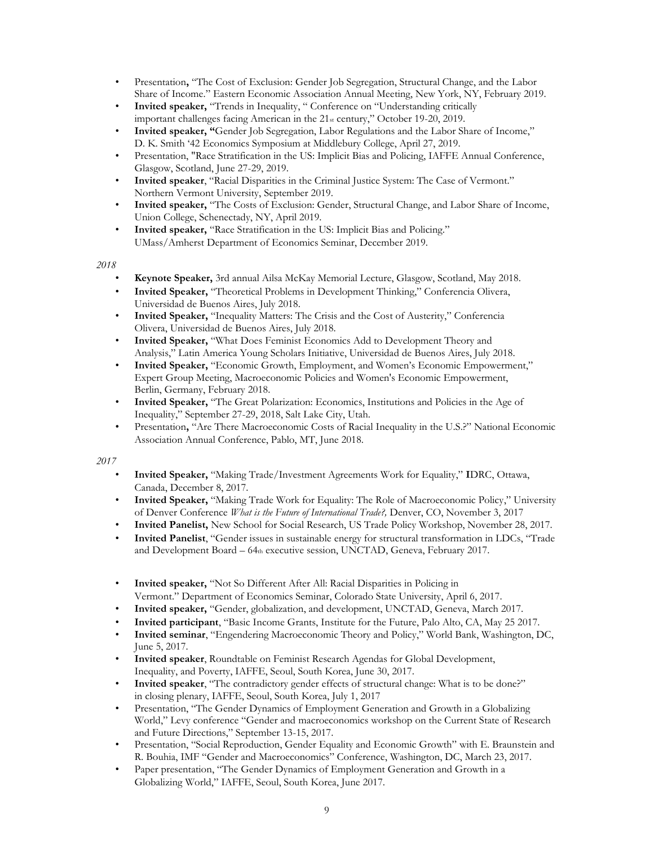- Presentation**,** "The Cost of Exclusion: Gender Job Segregation, Structural Change, and the Labor Share of Income." Eastern Economic Association Annual Meeting, New York, NY, February 2019.
- Invited speaker, "Trends in Inequality, " Conference on "Understanding critically important challenges facing American in the 21<sub>st</sub> century," October 19-20, 2019.
- **Invited speaker, "**Gender Job Segregation, Labor Regulations and the Labor Share of Income," D. K. Smith '42 Economics Symposium at Middlebury College, April 27, 2019.
- Presentation, "Race Stratification in the US: Implicit Bias and Policing, IAFFE Annual Conference, Glasgow, Scotland, June 27-29, 2019.
- **Invited speaker**, "Racial Disparities in the Criminal Justice System: The Case of Vermont." Northern Vermont University, September 2019.
- **Invited speaker,** "The Costs of Exclusion: Gender, Structural Change, and Labor Share of Income, Union College, Schenectady, NY, April 2019.
- **Invited speaker,** "Race Stratification in the US: Implicit Bias and Policing." UMass/Amherst Department of Economics Seminar, December 2019.

- **Keynote Speaker,** 3rd annual Ailsa McKay Memorial Lecture, Glasgow, Scotland, May 2018.
- **Invited Speaker,** "Theoretical Problems in Development Thinking," Conferencia Olivera, Universidad de Buenos Aires, July 2018.
- **Invited Speaker,** "Inequality Matters: The Crisis and the Cost of Austerity," Conferencia Olivera, Universidad de Buenos Aires, July 2018.
- **Invited Speaker,** "What Does Feminist Economics Add to Development Theory and Analysis," Latin America Young Scholars Initiative, Universidad de Buenos Aires, July 2018.
- **Invited Speaker,** "Economic Growth, Employment, and Women's Economic Empowerment," Expert Group Meeting, Macroeconomic Policies and Women's Economic Empowerment, Berlin, Germany, February 2018.
- **Invited Speaker,** "The Great Polarization: Economics, Institutions and Policies in the Age of Inequality," September 27-29, 2018, Salt Lake City, Utah.
- Presentation**,** "Are There Macroeconomic Costs of Racial Inequality in the U.S.?" National Economic Association Annual Conference, Pablo, MT, June 2018.

- **Invited Speaker,** "Making Trade/Investment Agreements Work for Equality," **I**DRC, Ottawa, Canada, December 8, 2017.
- **Invited Speaker,** "Making Trade Work for Equality: The Role of Macroeconomic Policy," University of Denver Conference *What is the Future of International Trade?,* Denver, CO, November 3, 2017
- **Invited Panelist,** New School for Social Research, US Trade Policy Workshop, November 28, 2017.
- **Invited Panelist**, "Gender issues in sustainable energy for structural transformation in LDCs, "Trade and Development Board – 64th executive session, UNCTAD, Geneva, February 2017.
- **Invited speaker,** "Not So Different After All: Racial Disparities in Policing in Vermont." Department of Economics Seminar, Colorado State University, April 6, 2017.
- **Invited speaker,** "Gender, globalization, and development, UNCTAD, Geneva, March 2017.
- **Invited participant**, "Basic Income Grants, Institute for the Future, Palo Alto, CA, May 25 2017.
- **Invited seminar**, "Engendering Macroeconomic Theory and Policy," World Bank, Washington, DC, June 5, 2017.
- **Invited speaker**, Roundtable on Feminist Research Agendas for Global Development, Inequality, and Poverty, IAFFE, Seoul, South Korea, June 30, 2017.
- **Invited speaker**, "The contradictory gender effects of structural change: What is to be done?" in closing plenary, IAFFE, Seoul, South Korea, July 1, 2017
- Presentation, "The Gender Dynamics of Employment Generation and Growth in a Globalizing World," Levy conference "Gender and macroeconomics workshop on the Current State of Research and Future Directions," September 13-15, 2017.
- Presentation, "Social Reproduction, Gender Equality and Economic Growth" with E. Braunstein and R. Bouhia, IMF "Gender and Macroeconomics" Conference, Washington, DC, March 23, 2017.
- Paper presentation, "The Gender Dynamics of Employment Generation and Growth in a Globalizing World," IAFFE, Seoul, South Korea, June 2017.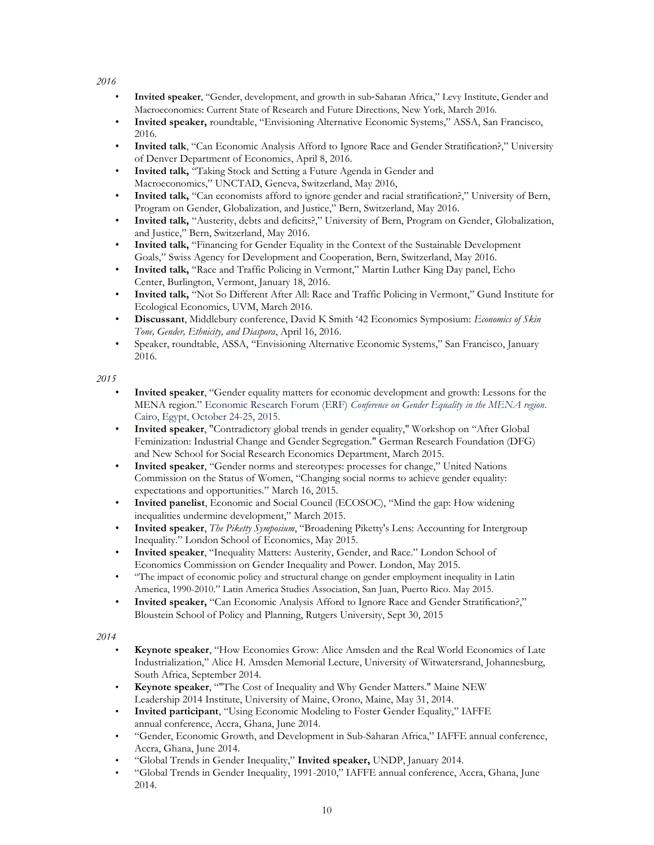- **Invited speaker**, "Gender, development, and growth in sub‐Saharan Africa," Levy Institute, Gender and Macroeconomics: Current State of Research and Future Directions, New York, March 2016.
- **Invited speaker,** roundtable, "Envisioning Alternative Economic Systems," ASSA, San Francisco, 2016.
- **Invited talk**, "Can Economic Analysis Afford to Ignore Race and Gender Stratification?," University of Denver Department of Economics, April 8, 2016.
- **Invited talk,** "Taking Stock and Setting a Future Agenda in Gender and Macroeconomics," UNCTAD, Geneva, Switzerland, May 2016,
- **Invited talk,** "Can economists afford to ignore gender and racial stratification?," University of Bern, Program on Gender, Globalization, and Justice," Bern, Switzerland, May 2016.
- **Invited talk,** "Austerity, debts and deficits?," University of Bern, Program on Gender, Globalization, and Justice," Bern, Switzerland, May 2016.
- **Invited talk,** "Financing for Gender Equality in the Context of the Sustainable Development Goals," Swiss Agency for Development and Cooperation, Bern, Switzerland, May 2016.
- **Invited talk,** "Race and Traffic Policing in Vermont," Martin Luther King Day panel, Echo Center, Burlington, Vermont, January 18, 2016.
- **Invited talk,** "Not So Different After All: Race and Traffic Policing in Vermont," Gund Institute for Ecological Economics, UVM, March 2016.
- **Discussant**, Middlebury conference, David K Smith '42 Economics Symposium: *Economics of Skin Tone, Gender, Ethnicity, and Diaspora*, April 16, 2016.
- Speaker, roundtable, ASSA, "Envisioning Alternative Economic Systems," San Francisco, January 2016.

*2015*

- **Invited speaker**, "Gender equality matters for economic development and growth: Lessons for the MENA region." Economic Research Forum (ERF) *Conference on Gender Equality in the MENA region*. Cairo, Egypt, October 24-25, 2015.
- **Invited speaker**, "Contradictory global trends in gender equality," Workshop on "After Global Feminization: Industrial Change and Gender Segregation." German Research Foundation (DFG) and New School for Social Research Economics Department, March 2015.
- **Invited speaker**, "Gender norms and stereotypes: processes for change," United Nations Commission on the Status of Women, "Changing social norms to achieve gender equality: expectations and opportunities." March 16, 2015.
- **Invited panelist**, Economic and Social Council (ECOSOC), "Mind the gap: How widening inequalities undermine development," March 2015.
- **Invited speaker**, *The Piketty Symposium*, "Broadening Piketty's Lens: Accounting for Intergroup Inequality." London School of Economics, May 2015.
- **Invited speaker**, "Inequality Matters: Austerity, Gender, and Race." London School of Economics Commission on Gender Inequality and Power. London, May 2015.
- "The impact of economic policy and structural change on gender employment inequality in Latin America, 1990-2010." Latin America Studies Association, San Juan, Puerto Rico. May 2015.
- **Invited speaker,** "Can Economic Analysis Afford to Ignore Race and Gender Stratification?," Bloustein School of Policy and Planning, Rutgers University, Sept 30, 2015

- **Keynote speaker**, "How Economies Grow: Alice Amsden and the Real World Economics of Late Industrialization," Alice H. Amsden Memorial Lecture, University of Witwatersrand, Johannesburg, South Africa, September 2014.
- **Keynote speaker**, ""The Cost of Inequality and Why Gender Matters." Maine NEW Leadership 2014 Institute, University of Maine, Orono, Maine, May 31, 2014.
- **Invited participant**, "Using Economic Modeling to Foster Gender Equality," IAFFE annual conference, Accra, Ghana, June 2014.
- "Gender, Economic Growth, and Development in Sub-Saharan Africa," IAFFE annual conference, Accra, Ghana, June 2014.
- "Global Trends in Gender Inequality," **Invited speaker,** UNDP, January 2014.
- "Global Trends in Gender Inequality, 1991-2010," IAFFE annual conference, Accra, Ghana, June 2014.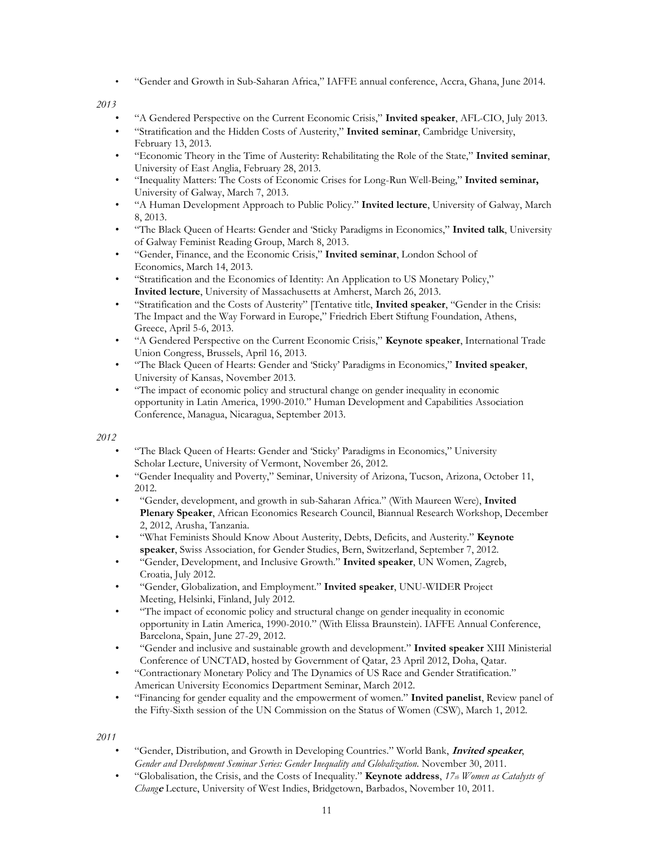• "Gender and Growth in Sub-Saharan Africa," IAFFE annual conference, Accra, Ghana, June 2014.

*2013*

- "A Gendered Perspective on the Current Economic Crisis," **Invited speaker**, AFL-CIO, July 2013.
- "Stratification and the Hidden Costs of Austerity," **Invited seminar**, Cambridge University, February 13, 2013.
- "Economic Theory in the Time of Austerity: Rehabilitating the Role of the State," **Invited seminar**, University of East Anglia, February 28, 2013.
- "Inequality Matters: The Costs of Economic Crises for Long-Run Well-Being," **Invited seminar,** University of Galway, March 7, 2013.
- "A Human Development Approach to Public Policy." **Invited lecture**, University of Galway, March 8, 2013.
- "The Black Queen of Hearts: Gender and 'Sticky Paradigms in Economics," **Invited talk**, University of Galway Feminist Reading Group, March 8, 2013.
- "Gender, Finance, and the Economic Crisis," **Invited seminar**, London School of Economics, March 14, 2013.
- "Stratification and the Economics of Identity: An Application to US Monetary Policy," **Invited lecture**, University of Massachusetts at Amherst, March 26, 2013.
- "Stratification and the Costs of Austerity" [Tentative title, **Invited speaker**, "Gender in the Crisis: The Impact and the Way Forward in Europe," Friedrich Ebert Stiftung Foundation, Athens, Greece, April 5-6, 2013.
- "A Gendered Perspective on the Current Economic Crisis," **Keynote speaker**, International Trade Union Congress, Brussels, April 16, 2013.
- "The Black Queen of Hearts: Gender and 'Sticky' Paradigms in Economics," **Invited speaker**, University of Kansas, November 2013.
- "The impact of economic policy and structural change on gender inequality in economic opportunity in Latin America, 1990-2010." Human Development and Capabilities Association Conference, Managua, Nicaragua, September 2013.

*2012*

- "The Black Queen of Hearts: Gender and 'Sticky' Paradigms in Economics," University Scholar Lecture, University of Vermont, November 26, 2012.
- "Gender Inequality and Poverty," Seminar, University of Arizona, Tucson, Arizona, October 11, 2012.
- "Gender, development, and growth in sub-Saharan Africa." (With Maureen Were), **Invited Plenary Speaker**, African Economics Research Council, Biannual Research Workshop, December 2, 2012, Arusha, Tanzania.
- "What Feminists Should Know About Austerity, Debts, Deficits, and Austerity." **Keynote speaker**, Swiss Association, for Gender Studies, Bern, Switzerland, September 7, 2012.
- "Gender, Development, and Inclusive Growth." **Invited speaker**, UN Women, Zagreb, Croatia, July 2012.
- "Gender, Globalization, and Employment." **Invited speaker**, UNU-WIDER Project Meeting, Helsinki, Finland, July 2012.
- "The impact of economic policy and structural change on gender inequality in economic opportunity in Latin America, 1990-2010." (With Elissa Braunstein). IAFFE Annual Conference, Barcelona, Spain, June 27-29, 2012.
- "Gender and inclusive and sustainable growth and development." **Invited speaker** XIII Ministerial Conference of UNCTAD, hosted by Government of Qatar, 23 April 2012, Doha, Qatar.
- "Contractionary Monetary Policy and The Dynamics of US Race and Gender Stratification." American University Economics Department Seminar, March 2012.
- "Financing for gender equality and the empowerment of women." **Invited panelist**, Review panel of the Fifty-Sixth session of the UN Commission on the Status of Women (CSW), March 1, 2012.

- "Gender, Distribution, and Growth in Developing Countries." World Bank, **Invited speaker**, *Gender and Development Seminar Series: Gender Inequality and Globalization*. November 30, 2011.
- "Globalisation, the Crisis, and the Costs of Inequality." **Keynote address**, *17th Women as Catalysts of Chang***<sup>e</sup>** Lecture, University of West Indies, Bridgetown, Barbados, November 10, 2011.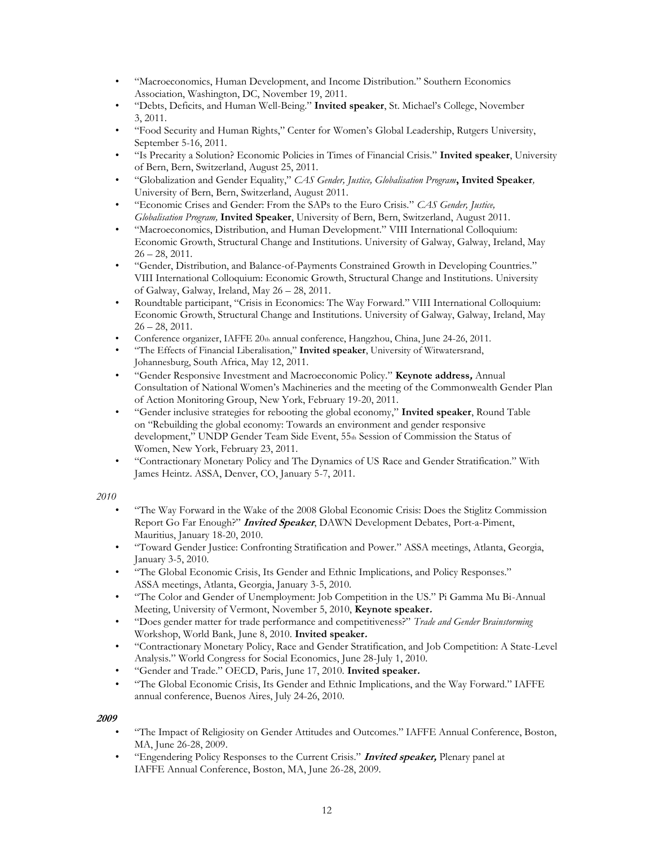- "Macroeconomics, Human Development, and Income Distribution." Southern Economics Association, Washington, DC, November 19, 2011.
- "Debts, Deficits, and Human Well-Being." **Invited speaker**, St. Michael's College, November 3, 2011.
- "Food Security and Human Rights," Center for Women's Global Leadership, Rutgers University, September 5-16, 2011.
- "Is Precarity a Solution? Economic Policies in Times of Financial Crisis." **Invited speaker**, University of Bern, Bern, Switzerland, August 25, 2011.
- "Globalization and Gender Equality," *CAS Gender, Justice, Globalisation Program***, Invited Speaker***,* University of Bern, Bern, Switzerland, August 2011.
- "Economic Crises and Gender: From the SAPs to the Euro Crisis." *CAS Gender, Justice, Globalisation Program,* **Invited Speaker**, University of Bern, Bern, Switzerland, August 2011.
- "Macroeconomics, Distribution, and Human Development." VIII International Colloquium: Economic Growth, Structural Change and Institutions. University of Galway, Galway, Ireland, May  $26 - 28$ , 2011.
- "Gender, Distribution, and Balance-of-Payments Constrained Growth in Developing Countries." VIII International Colloquium: Economic Growth, Structural Change and Institutions. University of Galway, Galway, Ireland, May 26 – 28, 2011.
- Roundtable participant, "Crisis in Economics: The Way Forward." VIII International Colloquium: Economic Growth, Structural Change and Institutions. University of Galway, Galway, Ireland, May  $26 - 28$ ,  $2011$ .
- Conference organizer, IAFFE 20th annual conference, Hangzhou, China, June 24-26, 2011.
- "The Effects of Financial Liberalisation," **Invited speaker**, University of Witwatersrand, Johannesburg, South Africa, May 12, 2011.
- "Gender Responsive Investment and Macroeconomic Policy." **Keynote address,** Annual Consultation of National Women's Machineries and the meeting of the Commonwealth Gender Plan of Action Monitoring Group, New York, February 19-20, 2011.
- "Gender inclusive strategies for rebooting the global economy," **Invited speaker**, Round Table on "Rebuilding the global economy: Towards an environment and gender responsive development," UNDP Gender Team Side Event, 55th Session of Commission the Status of Women, New York, February 23, 2011.
- "Contractionary Monetary Policy and The Dynamics of US Race and Gender Stratification." With James Heintz. ASSA, Denver, CO, January 5-7, 2011.

- "The Way Forward in the Wake of the 2008 Global Economic Crisis: Does the Stiglitz Commission Report Go Far Enough?" **Invited Speaker**, DAWN Development Debates, Port-a-Piment, Mauritius, January 18-20, 2010.
- "Toward Gender Justice: Confronting Stratification and Power." ASSA meetings, Atlanta, Georgia, January 3-5, 2010.
- "The Global Economic Crisis, Its Gender and Ethnic Implications, and Policy Responses." ASSA meetings, Atlanta, Georgia, January 3-5, 2010.
- "The Color and Gender of Unemployment: Job Competition in the US." Pi Gamma Mu Bi-Annual Meeting, University of Vermont, November 5, 2010, **Keynote speaker.**
- "Does gender matter for trade performance and competitiveness?" *Trade and Gender Brainstorming* Workshop, World Bank, June 8, 2010. **Invited speaker.**
- "Contractionary Monetary Policy, Race and Gender Stratification, and Job Competition: A State-Level Analysis." World Congress for Social Economics, June 28-July 1, 2010.
- "Gender and Trade." OECD, Paris, June 17, 2010. **Invited speaker.**
- "The Global Economic Crisis, Its Gender and Ethnic Implications, and the Way Forward." IAFFE annual conference, Buenos Aires, July 24-26, 2010.

- "The Impact of Religiosity on Gender Attitudes and Outcomes." IAFFE Annual Conference, Boston, MA, June 26-28, 2009.
- "Engendering Policy Responses to the Current Crisis." **Invited speaker,** Plenary panel at IAFFE Annual Conference, Boston, MA, June 26-28, 2009.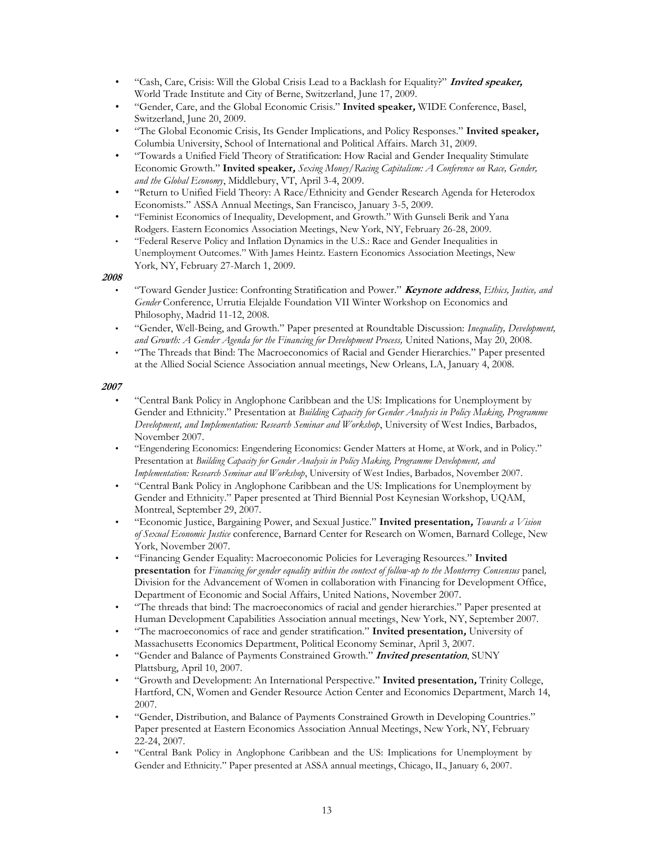- "Cash, Care, Crisis: Will the Global Crisis Lead to a Backlash for Equality?" **Invited speaker,** World Trade Institute and City of Berne, Switzerland, June 17, 2009.
- "Gender, Care, and the Global Economic Crisis." **Invited speaker,** WIDE Conference, Basel, Switzerland, June 20, 2009.
- "The Global Economic Crisis, Its Gender Implications, and Policy Responses." **Invited speaker,** Columbia University, School of International and Political Affairs. March 31, 2009.
- "Towards a Unified Field Theory of Stratification: How Racial and Gender Inequality Stimulate Economic Growth." **Invited speaker,** *Sexing Money/Racing Capitalism: A Conference on Race, Gender, and the Global Economy*, Middlebury, VT, April 3-4, 2009.
- "Return to Unified Field Theory: A Race/Ethnicity and Gender Research Agenda for Heterodox Economists." ASSA Annual Meetings, San Francisco, January 3-5, 2009.
- "Feminist Economics of Inequality, Development, and Growth." With Gunseli Berik and Yana Rodgers. Eastern Economics Association Meetings, New York, NY, February 26-28, 2009.
- "Federal Reserve Policy and Inflation Dynamics in the U.S.: Race and Gender Inequalities in Unemployment Outcomes." With James Heintz. Eastern Economics Association Meetings, New York, NY, February 27-March 1, 2009.

- "Toward Gender Justice: Confronting Stratification and Power." **Keynote address**, *Ethics, Justice, and Gender* Conference, Urrutia Elejalde Foundation VII Winter Workshop on Economics and Philosophy, Madrid 11-12, 2008.
- "Gender, Well-Being, and Growth." Paper presented at Roundtable Discussion: *Inequality, Development, and Growth: A Gender Agenda for the Financing for Development Process,* United Nations, May 20, 2008.
- "The Threads that Bind: The Macroeconomics of Racial and Gender Hierarchies." Paper presented at the Allied Social Science Association annual meetings, New Orleans, LA, January 4, 2008.

- "Central Bank Policy in Anglophone Caribbean and the US: Implications for Unemployment by Gender and Ethnicity." Presentation at *Building Capacity for Gender Analysis in Policy Making, Programme Development, and Implementation: Research Seminar and Workshop*, University of West Indies, Barbados, November 2007.
- "Engendering Economics: Engendering Economics: Gender Matters at Home, at Work, and in Policy." Presentation at *Building Capacity for Gender Analysis in Policy Making, Programme Development, and Implementation: Research Seminar and Workshop*, University of West Indies, Barbados, November 2007.
- "Central Bank Policy in Anglophone Caribbean and the US: Implications for Unemployment by Gender and Ethnicity." Paper presented at Third Biennial Post Keynesian Workshop, UQAM, Montreal, September 29, 2007.
- "Economic Justice, Bargaining Power, and Sexual Justice." **Invited presentation,** *Towards a Vision of Sexual Economic Justice* conference, Barnard Center for Research on Women, Barnard College, New York, November 2007.
- "Financing Gender Equality: Macroeconomic Policies for Leveraging Resources." **Invited presentation** for *Financing for gender equality within the context of follow-up to the Monterrey Consensus* panel*,* Division for the Advancement of Women in collaboration with Financing for Development Office, Department of Economic and Social Affairs, United Nations, November 2007.
- "The threads that bind: The macroeconomics of racial and gender hierarchies." Paper presented at Human Development Capabilities Association annual meetings, New York, NY, September 2007.
- "The macroeconomics of race and gender stratification." **Invited presentation,** University of Massachusetts Economics Department, Political Economy Seminar, April 3, 2007.
- "Gender and Balance of Payments Constrained Growth." **Invited presentation**, SUNY Plattsburg, April 10, 2007.
- "Growth and Development: An International Perspective." **Invited presentation,** Trinity College, Hartford, CN, Women and Gender Resource Action Center and Economics Department, March 14, 2007.
- "Gender, Distribution, and Balance of Payments Constrained Growth in Developing Countries." Paper presented at Eastern Economics Association Annual Meetings, New York, NY, February 22-24, 2007.
- "Central Bank Policy in Anglophone Caribbean and the US: Implications for Unemployment by Gender and Ethnicity." Paper presented at ASSA annual meetings, Chicago, IL, January 6, 2007.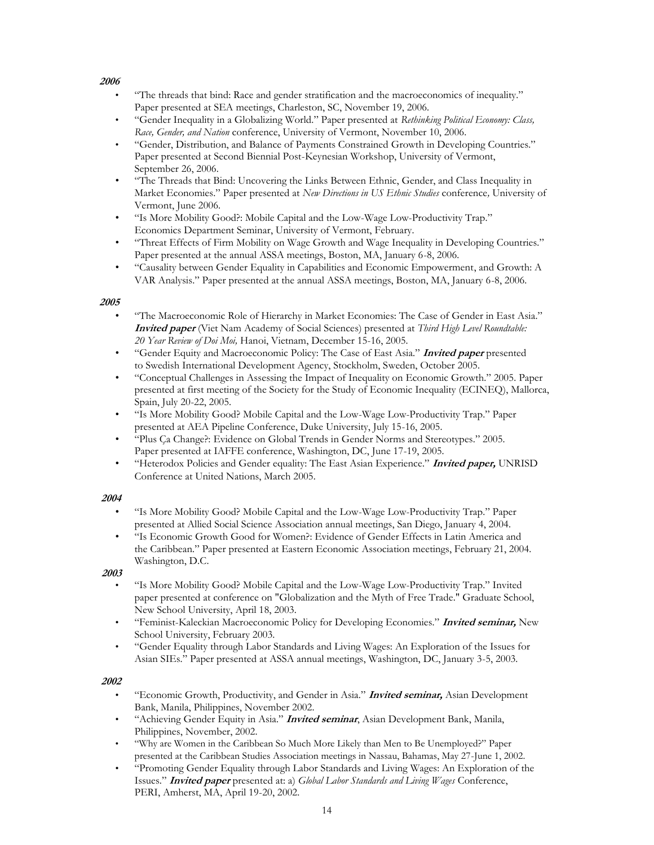- "The threads that bind: Race and gender stratification and the macroeconomics of inequality." Paper presented at SEA meetings, Charleston, SC, November 19, 2006.
- "Gender Inequality in a Globalizing World." Paper presented at *Rethinking Political Economy: Class, Race, Gender, and Nation* conference, University of Vermont, November 10, 2006.
- "Gender, Distribution, and Balance of Payments Constrained Growth in Developing Countries." Paper presented at Second Biennial Post-Keynesian Workshop, University of Vermont, September 26, 2006.
- "The Threads that Bind: Uncovering the Links Between Ethnic, Gender, and Class Inequality in Market Economies." Paper presented at *New Directions in US Ethnic Studies* conference*,* University of Vermont, June 2006.
- "Is More Mobility Good?: Mobile Capital and the Low-Wage Low-Productivity Trap." Economics Department Seminar, University of Vermont, February.
- "Threat Effects of Firm Mobility on Wage Growth and Wage Inequality in Developing Countries." Paper presented at the annual ASSA meetings, Boston, MA, January 6-8, 2006.
- "Causality between Gender Equality in Capabilities and Economic Empowerment, and Growth: A VAR Analysis." Paper presented at the annual ASSA meetings, Boston, MA, January 6-8, 2006.

## **2005**

- "The Macroeconomic Role of Hierarchy in Market Economies: The Case of Gender in East Asia." **Invited paper** (Viet Nam Academy of Social Sciences) presented at *Third High Level Roundtable: 20 Year Review of Doi Moi,* Hanoi, Vietnam, December 15-16, 2005.
- "Gender Equity and Macroeconomic Policy: The Case of East Asia." **Invited paper** presented to Swedish International Development Agency, Stockholm, Sweden, October 2005.
- "Conceptual Challenges in Assessing the Impact of Inequality on Economic Growth." 2005. Paper presented at first meeting of the Society for the Study of Economic Inequality (ECINEQ), Mallorca, Spain, July 20-22, 2005.
- "Is More Mobility Good? Mobile Capital and the Low-Wage Low-Productivity Trap." Paper presented at AEA Pipeline Conference, Duke University, July 15-16, 2005.
- "Plus Ça Change?: Evidence on Global Trends in Gender Norms and Stereotypes." 2005. Paper presented at IAFFE conference, Washington, DC, June 17-19, 2005.
- "Heterodox Policies and Gender equality: The East Asian Experience." **Invited paper,** UNRISD Conference at United Nations, March 2005.

## **2004**

- "Is More Mobility Good? Mobile Capital and the Low-Wage Low-Productivity Trap." Paper presented at Allied Social Science Association annual meetings, San Diego, January 4, 2004.
- "Is Economic Growth Good for Women?: Evidence of Gender Effects in Latin America and the Caribbean." Paper presented at Eastern Economic Association meetings, February 21, 2004. Washington, D.C.

## **2003**

- "Is More Mobility Good? Mobile Capital and the Low-Wage Low-Productivity Trap." Invited paper presented at conference on "Globalization and the Myth of Free Trade." Graduate School, New School University, April 18, 2003.
- "Feminist-Kaleckian Macroeconomic Policy for Developing Economies." **Invited seminar,** New School University, February 2003.
- "Gender Equality through Labor Standards and Living Wages: An Exploration of the Issues for Asian SIEs." Paper presented at ASSA annual meetings, Washington, DC, January 3-5, 2003.

- "Economic Growth, Productivity, and Gender in Asia." **Invited seminar,** Asian Development Bank, Manila, Philippines, November 2002.
- "Achieving Gender Equity in Asia." **Invited seminar**, Asian Development Bank, Manila, Philippines, November, 2002.
- "Why are Women in the Caribbean So Much More Likely than Men to Be Unemployed?" Paper presented at the Caribbean Studies Association meetings in Nassau, Bahamas, May 27-June 1, 2002.
- "Promoting Gender Equality through Labor Standards and Living Wages: An Exploration of the Issues." **Invited paper** presented at: a) *Global Labor Standards and Living Wages* Conference, PERI, Amherst, MA, April 19-20, 2002.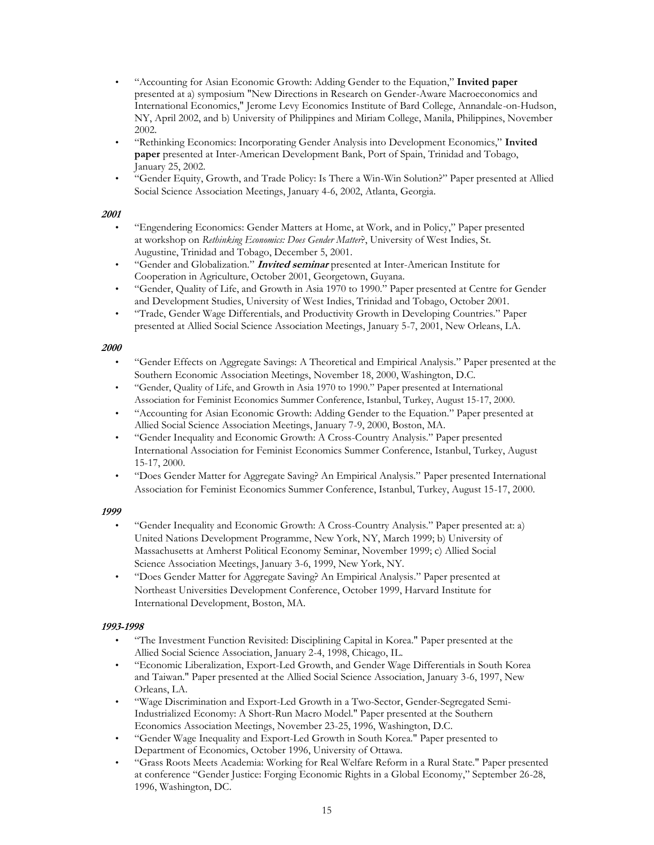- "Accounting for Asian Economic Growth: Adding Gender to the Equation," **Invited paper** presented at a) symposium "New Directions in Research on Gender-Aware Macroeconomics and International Economics," Jerome Levy Economics Institute of Bard College, Annandale-on-Hudson, NY, April 2002, and b) University of Philippines and Miriam College, Manila, Philippines, November 2002.
- "Rethinking Economics: Incorporating Gender Analysis into Development Economics," **Invited paper** presented at Inter-American Development Bank, Port of Spain, Trinidad and Tobago, January 25, 2002.
- "Gender Equity, Growth, and Trade Policy: Is There a Win-Win Solution?" Paper presented at Allied Social Science Association Meetings, January 4-6, 2002, Atlanta, Georgia.

- "Engendering Economics: Gender Matters at Home, at Work, and in Policy," Paper presented at workshop on *Rethinking Economics: Does Gender Matter*?, University of West Indies, St. Augustine, Trinidad and Tobago, December 5, 2001.
- "Gender and Globalization." **Invited seminar** presented at Inter-American Institute for Cooperation in Agriculture, October 2001, Georgetown, Guyana.
- "Gender, Quality of Life, and Growth in Asia 1970 to 1990." Paper presented at Centre for Gender and Development Studies, University of West Indies, Trinidad and Tobago, October 2001.
- "Trade, Gender Wage Differentials, and Productivity Growth in Developing Countries." Paper presented at Allied Social Science Association Meetings, January 5-7, 2001, New Orleans, LA.

#### **2000**

- "Gender Effects on Aggregate Savings: A Theoretical and Empirical Analysis." Paper presented at the Southern Economic Association Meetings, November 18, 2000, Washington, D.C.
- "Gender, Quality of Life, and Growth in Asia 1970 to 1990." Paper presented at International Association for Feminist Economics Summer Conference, Istanbul, Turkey, August 15-17, 2000.
- "Accounting for Asian Economic Growth: Adding Gender to the Equation." Paper presented at Allied Social Science Association Meetings, January 7-9, 2000, Boston, MA.
- "Gender Inequality and Economic Growth: A Cross-Country Analysis." Paper presented International Association for Feminist Economics Summer Conference, Istanbul, Turkey, August 15-17, 2000.
- "Does Gender Matter for Aggregate Saving? An Empirical Analysis." Paper presented International Association for Feminist Economics Summer Conference, Istanbul, Turkey, August 15-17, 2000.

#### **1999**

- "Gender Inequality and Economic Growth: A Cross-Country Analysis." Paper presented at: a) United Nations Development Programme, New York, NY, March 1999; b) University of Massachusetts at Amherst Political Economy Seminar, November 1999; c) Allied Social Science Association Meetings, January 3-6, 1999, New York, NY.
- "Does Gender Matter for Aggregate Saving? An Empirical Analysis." Paper presented at Northeast Universities Development Conference, October 1999, Harvard Institute for International Development, Boston, MA.

## **1993-1998**

- "The Investment Function Revisited: Disciplining Capital in Korea." Paper presented at the Allied Social Science Association, January 2-4, 1998, Chicago, IL.
- "Economic Liberalization, Export-Led Growth, and Gender Wage Differentials in South Korea and Taiwan." Paper presented at the Allied Social Science Association, January 3-6, 1997, New Orleans, LA.
- "Wage Discrimination and Export-Led Growth in a Two-Sector, Gender-Segregated Semi-Industrialized Economy: A Short-Run Macro Model." Paper presented at the Southern Economics Association Meetings, November 23-25, 1996, Washington, D.C.
- "Gender Wage Inequality and Export-Led Growth in South Korea." Paper presented to Department of Economics, October 1996, University of Ottawa.
- "Grass Roots Meets Academia: Working for Real Welfare Reform in a Rural State." Paper presented at conference "Gender Justice: Forging Economic Rights in a Global Economy," September 26-28, 1996, Washington, DC.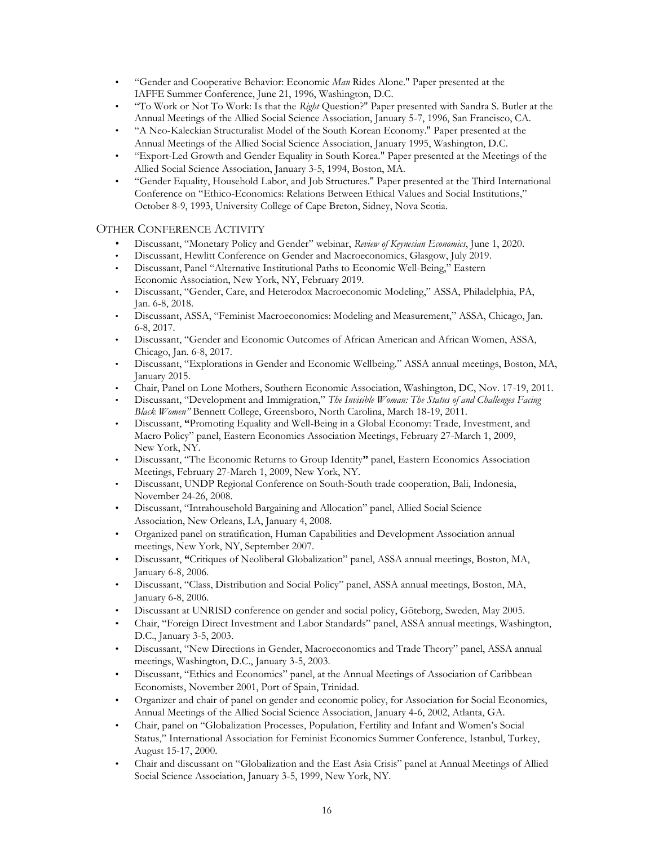- "Gender and Cooperative Behavior: Economic *Man* Rides Alone." Paper presented at the IAFFE Summer Conference, June 21, 1996, Washington, D.C.
- "To Work or Not To Work: Is that the *Right* Question?" Paper presented with Sandra S. Butler at the Annual Meetings of the Allied Social Science Association, January 5-7, 1996, San Francisco, CA.
- "A Neo-Kaleckian Structuralist Model of the South Korean Economy." Paper presented at the Annual Meetings of the Allied Social Science Association, January 1995, Washington, D.C.
- "Export-Led Growth and Gender Equality in South Korea." Paper presented at the Meetings of the Allied Social Science Association, January 3-5, 1994, Boston, MA.
- "Gender Equality, Household Labor, and Job Structures." Paper presented at the Third International Conference on "Ethico-Economics: Relations Between Ethical Values and Social Institutions," October 8-9, 1993, University College of Cape Breton, Sidney, Nova Scotia.

# OTHER CONFERENCE ACTIVITY

- Discussant, "Monetary Policy and Gender" webinar, *Review of Keynesian Economics*, June 1, 2020.
- Discussant, Hewlitt Conference on Gender and Macroeconomics, Glasgow, July 2019.
- Discussant, Panel "Alternative Institutional Paths to Economic Well-Being," Eastern Economic Association, New York, NY, February 2019.
- Discussant, "Gender, Care, and Heterodox Macroeconomic Modeling," ASSA, Philadelphia, PA, Jan. 6-8, 2018.
- Discussant, ASSA, "Feminist Macroeconomics: Modeling and Measurement," ASSA, Chicago, Jan. 6-8, 2017.
- Discussant, "Gender and Economic Outcomes of African American and African Women, ASSA, Chicago, Jan. 6-8, 2017.
- Discussant, "Explorations in Gender and Economic Wellbeing." ASSA annual meetings, Boston, MA, January 2015.
- Chair, Panel on Lone Mothers, Southern Economic Association, Washington, DC, Nov. 17-19, 2011.
- Discussant, "Development and Immigration," *The Invisible Woman: The Status of and Challenges Facing Black Women"* Bennett College, Greensboro, North Carolina, March 18-19, 2011.
- Discussant, **"**Promoting Equality and Well-Being in a Global Economy: Trade, Investment, and Macro Policy" panel, Eastern Economics Association Meetings, February 27-March 1, 2009, New York, NY.
- Discussant, "The Economic Returns to Group Identity**"** panel, Eastern Economics Association Meetings, February 27-March 1, 2009, New York, NY.
- Discussant, UNDP Regional Conference on South-South trade cooperation, Bali, Indonesia, November 24-26, 2008.
- Discussant, "Intrahousehold Bargaining and Allocation" panel, Allied Social Science Association, New Orleans, LA, January 4, 2008.
- Organized panel on stratification, Human Capabilities and Development Association annual meetings, New York, NY, September 2007.
- Discussant, **"**Critiques of Neoliberal Globalization" panel, ASSA annual meetings, Boston, MA, January 6-8, 2006.
- Discussant, "Class, Distribution and Social Policy" panel, ASSA annual meetings, Boston, MA, January 6-8, 2006.
- Discussant at UNRISD conference on gender and social policy, Göteborg, Sweden, May 2005.
- Chair, "Foreign Direct Investment and Labor Standards" panel, ASSA annual meetings, Washington, D.C., January 3-5, 2003.
- Discussant, "New Directions in Gender, Macroeconomics and Trade Theory" panel, ASSA annual meetings, Washington, D.C., January 3-5, 2003.
- Discussant, "Ethics and Economics" panel, at the Annual Meetings of Association of Caribbean Economists, November 2001, Port of Spain, Trinidad.
- Organizer and chair of panel on gender and economic policy, for Association for Social Economics, Annual Meetings of the Allied Social Science Association, January 4-6, 2002, Atlanta, GA.
- Chair, panel on "Globalization Processes, Population, Fertility and Infant and Women's Social Status," International Association for Feminist Economics Summer Conference, Istanbul, Turkey, August 15-17, 2000.
- Chair and discussant on "Globalization and the East Asia Crisis" panel at Annual Meetings of Allied Social Science Association, January 3-5, 1999, New York, NY.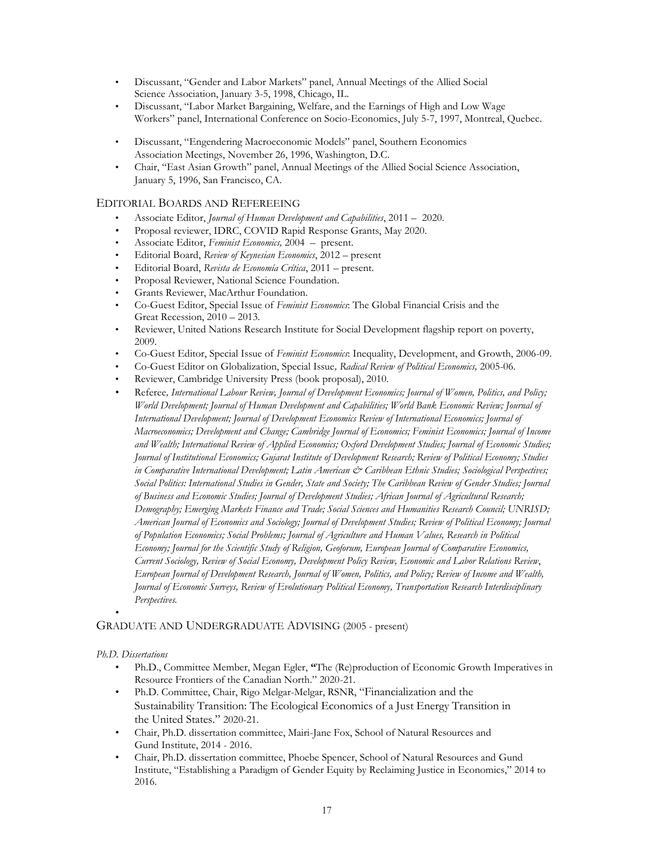- Discussant, "Gender and Labor Markets" panel, Annual Meetings of the Allied Social Science Association, January 3-5, 1998, Chicago, IL.
- Discussant, "Labor Market Bargaining, Welfare, and the Earnings of High and Low Wage Workers" panel, International Conference on Socio-Economics, July 5-7, 1997, Montreal, Quebec.
- Discussant, "Engendering Macroeconomic Models" panel, Southern Economics Association Meetings, November 26, 1996, Washington, D.C.
- Chair, "East Asian Growth" panel, Annual Meetings of the Allied Social Science Association, January 5, 1996, San Francisco, CA.

## EDITORIAL BOARDS AND REFEREEING

- Associate Editor, *Journal of Human Development and Capabilities*, 2011 2020.
- Proposal reviewer, IDRC, COVID Rapid Response Grants, May 2020.
- Associate Editor, *Feminist Economics,* 2004 present.
- Editorial Board, *Review of Keynesian Economics*, 2012 present
- Editorial Board, *Revista de Economía Crítica*, 2011 present.
- Proposal Reviewer, National Science Foundation.
- Grants Reviewer, MacArthur Foundation.
- Co-Guest Editor, Special Issue of *Feminist Economics*: The Global Financial Crisis and the Great Recession, 2010 – 2013.
- Reviewer, United Nations Research Institute for Social Development flagship report on poverty, 2009.
- Co-Guest Editor, Special Issue of *Feminist Economics*: Inequality, Development, and Growth, 2006-09.
- Co-Guest Editor on Globalization, Special Issue*, Radical Review of Political Economics,* 2005-06.
- Reviewer, Cambridge University Press (book proposal), 2010.
- Referee*, International Labour Review, Journal of Development Economics; Journal of Women, Politics, and Policy; World Development; Journal of Human Development and Capabilities; World Bank Economic Review; Journal of International Development; Journal of Development Economics Review of International Economics; Journal of Macroeconomics; Development and Change; Cambridge Journal of Economics; Feminist Economics; Journal of Income and Wealth; International Review of Applied Economics; Oxford Development Studies; Journal of Economic Studies; Journal of Institutional Economics; Gujarat Institute of Development Research; Review of Political Economy; Studies in Comparative International Development; Latin American & Caribbean Ethnic Studies; Sociological Perspectives; Social Politics: International Studies in Gender, State and Society; The Caribbean Review of Gender Studies; Journal of Business and Economic Studies; Journal of Development Studies; African Journal of Agricultural Research; Demography; Emerging Markets Finance and Trade; Social Sciences and Humanities Research Council; UNRISD; American Journal of Economics and Sociology; Journal of Development Studies; Review of Political Economy; Journal of Population Economics; Social Problems; Journal of Agriculture and Human Values, Research in Political Economy; Journal for the Scientific Study of Religion, Geoforum, European Journal of Comparative Economics, Current Sociology, Review of Social Economy, Development Policy Review, Economic and Labor Relations Review*, *European Journal of Development Research, Journal of Women, Politics, and Policy; Review of Income and Wealth, Journal of Economic Surveys, Review of Evolutionary Political Economy, Transportation Research Interdisciplinary Perspectives.*

## GRADUATE AND UNDERGRADUATE ADVISING (2005 - present)

# *Ph.D. Dissertations*

•

- Ph.D., Committee Member, Megan Egler, **"**The (Re)production of Economic Growth Imperatives in Resource Frontiers of the Canadian North." 2020-21.
- Ph.D. Committee, Chair, Rigo Melgar-Melgar, RSNR, "Financialization and the Sustainability Transition: The Ecological Economics of a Just Energy Transition in the United States." 2020-21.
- Chair, Ph.D. dissertation committee, Mairi-Jane Fox, School of Natural Resources and Gund Institute, 2014 - 2016.
- Chair, Ph.D. dissertation committee, Phoebe Spencer, School of Natural Resources and Gund Institute, "Establishing a Paradigm of Gender Equity by Reclaiming Justice in Economics," 2014 to 2016.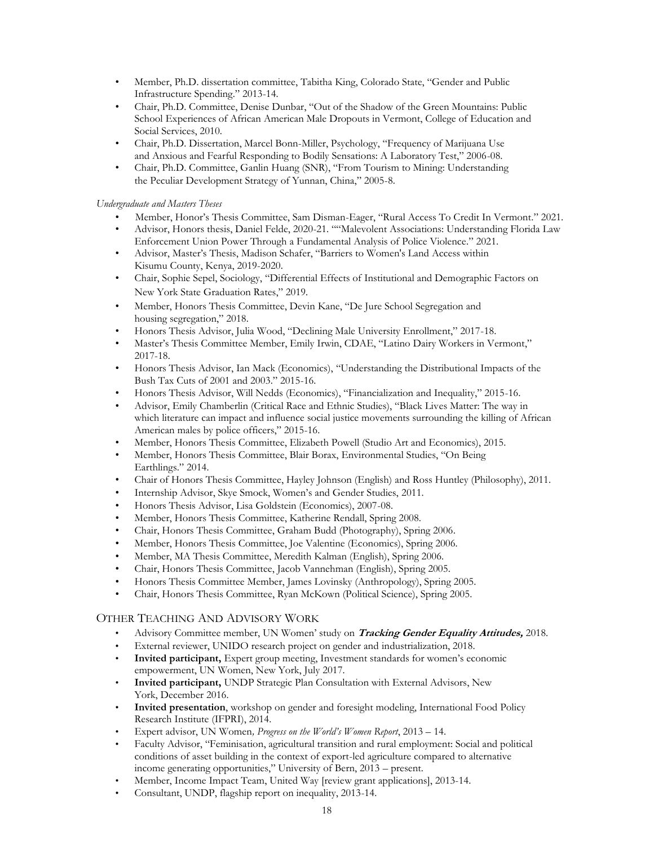- Member, Ph.D. dissertation committee, Tabitha King, Colorado State, "Gender and Public Infrastructure Spending." 2013-14.
- Chair, Ph.D. Committee, Denise Dunbar, "Out of the Shadow of the Green Mountains: Public School Experiences of African American Male Dropouts in Vermont, College of Education and Social Services, 2010.
- Chair, Ph.D. Dissertation, Marcel Bonn-Miller, Psychology, "Frequency of Marijuana Use and Anxious and Fearful Responding to Bodily Sensations: A Laboratory Test," 2006-08.
- Chair, Ph.D. Committee, Ganlin Huang (SNR), "From Tourism to Mining: Understanding the Peculiar Development Strategy of Yunnan, China," 2005-8.

#### *Undergraduate and Masters Theses*

- Member, Honor's Thesis Committee, Sam Disman-Eager, "Rural Access To Credit In Vermont." 2021.
- Advisor, Honors thesis, Daniel Felde, 2020-21. ""Malevolent Associations: Understanding Florida Law Enforcement Union Power Through a Fundamental Analysis of Police Violence." 2021.
- Advisor, Master's Thesis, Madison Schafer, "Barriers to Women's Land Access within Kisumu County, Kenya, 2019-2020.
- Chair, Sophie Sepel, Sociology, "Differential Effects of Institutional and Demographic Factors on New York State Graduation Rates," 2019.
- Member, Honors Thesis Committee, Devin Kane, "De Jure School Segregation and housing segregation," 2018.
- Honors Thesis Advisor, Julia Wood, "Declining Male University Enrollment," 2017-18.
- Master's Thesis Committee Member, Emily Irwin, CDAE, "Latino Dairy Workers in Vermont," 2017-18.
- Honors Thesis Advisor, Ian Mack (Economics), "Understanding the Distributional Impacts of the Bush Tax Cuts of 2001 and 2003." 2015-16.
- Honors Thesis Advisor, Will Nedds (Economics), "Financialization and Inequality," 2015-16.
- Advisor, Emily Chamberlin (Critical Race and Ethnic Studies), "Black Lives Matter: The way in which literature can impact and influence social justice movements surrounding the killing of African American males by police officers," 2015-16.
- Member, Honors Thesis Committee, Elizabeth Powell (Studio Art and Economics), 2015.
- Member, Honors Thesis Committee, Blair Borax, Environmental Studies, "On Being Earthlings." 2014.
- Chair of Honors Thesis Committee, Hayley Johnson (English) and Ross Huntley (Philosophy), 2011.
- Internship Advisor, Skye Smock, Women's and Gender Studies, 2011.
- Honors Thesis Advisor, Lisa Goldstein (Economics), 2007-08.
- Member, Honors Thesis Committee, Katherine Rendall, Spring 2008.
- Chair, Honors Thesis Committee, Graham Budd (Photography), Spring 2006.
- Member, Honors Thesis Committee, Joe Valentine (Economics), Spring 2006.
- Member, MA Thesis Committee, Meredith Kalman (English), Spring 2006.
- Chair, Honors Thesis Committee, Jacob Vannehman (English), Spring 2005.
- Honors Thesis Committee Member, James Lovinsky (Anthropology), Spring 2005.
- Chair, Honors Thesis Committee, Ryan McKown (Political Science), Spring 2005.

## OTHER TEACHING AND ADVISORY WORK

- Advisory Committee member, UN Women' study on **Tracking Gender Equality Attitudes,** 2018.
- External reviewer, UNIDO research project on gender and industrialization, 2018.
- **Invited participant,** Expert group meeting, Investment standards for women's economic empowerment, UN Women, New York, July 2017.
- **Invited participant,** UNDP Strategic Plan Consultation with External Advisors, New York, December 2016.
- **Invited presentation**, workshop on gender and foresight modeling, International Food Policy Research Institute (IFPRI), 2014.
- Expert advisor, UN Women*, Progress on the World's Women Report*, 2013 14.
- Faculty Advisor, "Feminisation, agricultural transition and rural employment: Social and political conditions of asset building in the context of export-led agriculture compared to alternative income generating opportunities," University of Bern, 2013 – present.
- Member, Income Impact Team, United Way [review grant applications], 2013-14.
- Consultant, UNDP, flagship report on inequality, 2013-14.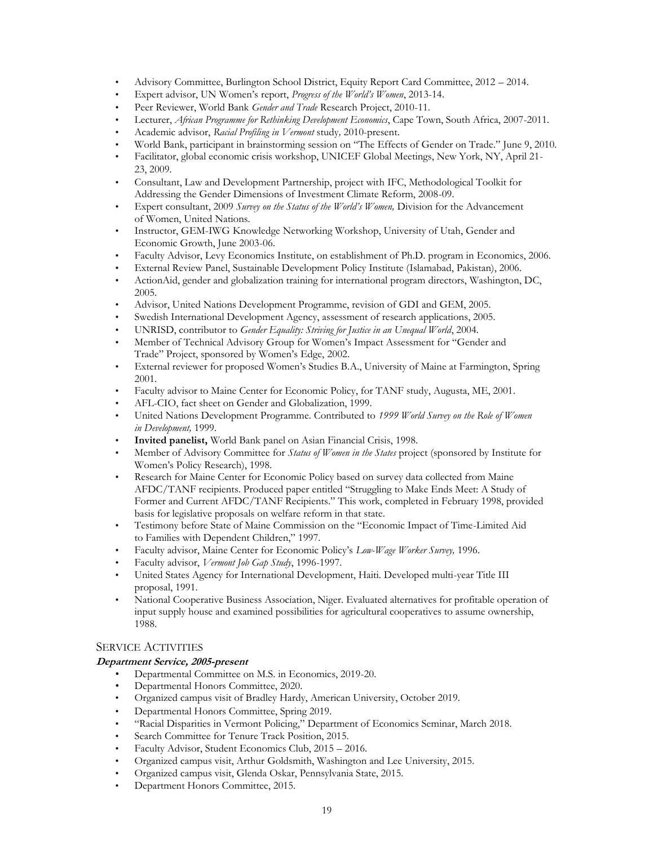- Advisory Committee, Burlington School District, Equity Report Card Committee, 2012 2014.
- Expert advisor, UN Women's report, *Progress of the World's Women*, 2013-14.
- Peer Reviewer, World Bank *Gender and Trade* Research Project, 2010-11.
- Lecturer, *African Programme for Rethinking Development Economics*, Cape Town, South Africa, 2007-2011.
- Academic advisor, *Racial Profiling in Vermont* study*,* 2010-present.
- World Bank, participant in brainstorming session on "The Effects of Gender on Trade." June 9, 2010.
- Facilitator, global economic crisis workshop, UNICEF Global Meetings, New York, NY, April 21- 23, 2009.
- Consultant, Law and Development Partnership, project with IFC, Methodological Toolkit for Addressing the Gender Dimensions of Investment Climate Reform, 2008-09.
- Expert consultant, 2009 *Survey on the Status of the World's Women,* Division for the Advancement of Women, United Nations.
- Instructor, GEM-IWG Knowledge Networking Workshop, University of Utah, Gender and Economic Growth, June 2003-06.
- Faculty Advisor, Levy Economics Institute, on establishment of Ph.D. program in Economics, 2006.
- External Review Panel, Sustainable Development Policy Institute (Islamabad, Pakistan), 2006.
- ActionAid, gender and globalization training for international program directors, Washington, DC, 2005.
- Advisor, United Nations Development Programme, revision of GDI and GEM, 2005.
- Swedish International Development Agency, assessment of research applications, 2005.
- UNRISD, contributor to *Gender Equality: Striving for Justice in an Unequal World*, 2004.
- Member of Technical Advisory Group for Women's Impact Assessment for "Gender and Trade" Project, sponsored by Women's Edge, 2002.
- External reviewer for proposed Women's Studies B.A., University of Maine at Farmington, Spring 2001.
- Faculty advisor to Maine Center for Economic Policy, for TANF study, Augusta, ME, 2001.
- AFL-CIO, fact sheet on Gender and Globalization, 1999.
- United Nations Development Programme. Contributed to *1999 World Survey on the Role of Women in Development,* 1999.
- **Invited panelist,** World Bank panel on Asian Financial Crisis, 1998.
- Member of Advisory Committee for *Status of Women in the States* project (sponsored by Institute for Women's Policy Research), 1998.
- Research for Maine Center for Economic Policy based on survey data collected from Maine AFDC/TANF recipients. Produced paper entitled "Struggling to Make Ends Meet: A Study of Former and Current AFDC/TANF Recipients." This work, completed in February 1998, provided basis for legislative proposals on welfare reform in that state.
- Testimony before State of Maine Commission on the "Economic Impact of Time-Limited Aid to Families with Dependent Children," 1997.
- Faculty advisor, Maine Center for Economic Policy's *Low-Wage Worker Survey,* 1996.
- Faculty advisor, *Vermont Job Gap Study*, 1996-1997.
- United States Agency for International Development, Haiti. Developed multi-year Title III proposal, 1991.
- National Cooperative Business Association, Niger. Evaluated alternatives for profitable operation of input supply house and examined possibilities for agricultural cooperatives to assume ownership, 1988.

## SERVICE ACTIVITIES

#### **Department Service, 2005-present**

- Departmental Committee on M.S. in Economics, 2019-20.
- Departmental Honors Committee, 2020.
- Organized campus visit of Bradley Hardy, American University, October 2019.
- Departmental Honors Committee, Spring 2019.
- "Racial Disparities in Vermont Policing," Department of Economics Seminar, March 2018.
- Search Committee for Tenure Track Position, 2015.
- Faculty Advisor, Student Economics Club, 2015 2016.
- Organized campus visit, Arthur Goldsmith, Washington and Lee University, 2015.
- Organized campus visit, Glenda Oskar, Pennsylvania State, 2015.
- Department Honors Committee, 2015.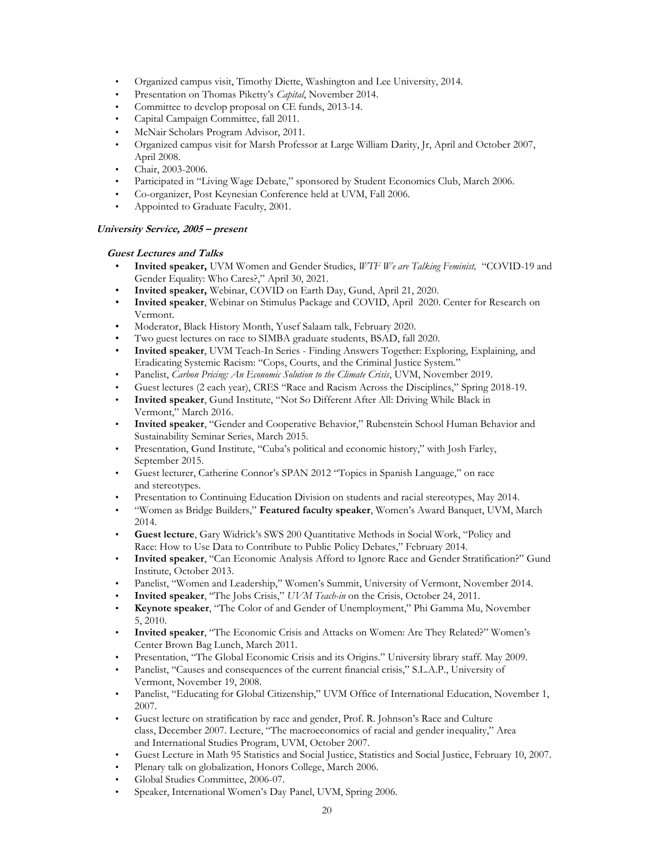- Organized campus visit, Timothy Diette, Washington and Lee University, 2014.
- Presentation on Thomas Piketty's *Capital*, November 2014.
- Committee to develop proposal on CE funds, 2013-14.
- Capital Campaign Committee, fall 2011.
- McNair Scholars Program Advisor, 2011.
- Organized campus visit for Marsh Professor at Large William Darity, Jr, April and October 2007, April 2008.
- Chair, 2003-2006.
- Participated in "Living Wage Debate," sponsored by Student Economics Club, March 2006.
- Co-organizer, Post Keynesian Conference held at UVM, Fall 2006.
- Appointed to Graduate Faculty, 2001.

# **University Service, 2005 – present**

#### **Guest Lectures and Talks**

- **Invited speaker,** UVM Women and Gender Studies, *WTF We are Talking Feminist,* "COVID-19 and Gender Equality: Who Cares?," April 30, 2021.
- **Invited speaker,** Webinar, COVID on Earth Day, Gund, April 21, 2020.
- **Invited speaker**, Webinar on Stimulus Package and COVID, April 2020. Center for Research on Vermont.
- Moderator, Black History Month, Yusef Salaam talk, February 2020.
- Two guest lectures on race to SIMBA graduate students, BSAD, fall 2020.
- **Invited speaker**, UVM Teach-In Series Finding Answers Together: Exploring, Explaining, and Eradicating Systemic Racism: "Cops, Courts, and the Criminal Justice System."
- Panelist, *Carbon Pricing: An Economic Solution to the Climate Crisis*, UVM, November 2019.
- Guest lectures (2 each year), CRES "Race and Racism Across the Disciplines," Spring 2018-19.
- **Invited speaker**, Gund Institute, "Not So Different After All: Driving While Black in Vermont," March 2016.
- **Invited speaker**, "Gender and Cooperative Behavior," Rubenstein School Human Behavior and Sustainability Seminar Series, March 2015.
- Presentation, Gund Institute, "Cuba's political and economic history," with Josh Farley, September 2015.
- Guest lecturer, Catherine Connor's SPAN 2012 "Topics in Spanish Language," on race and stereotypes.
- Presentation to Continuing Education Division on students and racial stereotypes, May 2014.
- "Women as Bridge Builders," **Featured faculty speaker**, Women's Award Banquet, UVM, March 2014.
- **Guest lecture**, Gary Widrick's SWS 200 Quantitative Methods in Social Work, "Policy and Race: How to Use Data to Contribute to Public Policy Debates," February 2014.
- **Invited speaker**, "Can Economic Analysis Afford to Ignore Race and Gender Stratification?" Gund Institute, October 2013.
- Panelist, "Women and Leadership," Women's Summit, University of Vermont, November 2014.
- **Invited speaker**, "The Jobs Crisis," *UVM Teach-in* on the Crisis, October 24, 2011.
- **Keynote speaker**, "The Color of and Gender of Unemployment," Phi Gamma Mu, November 5, 2010.
- **Invited speaker**, "The Economic Crisis and Attacks on Women: Are They Related?" Women's Center Brown Bag Lunch, March 2011.
- Presentation, "The Global Economic Crisis and its Origins." University library staff. May 2009.
- Panelist, "Causes and consequences of the current financial crisis," S.L.A.P., University of Vermont, November 19, 2008.
- Panelist, "Educating for Global Citizenship," UVM Office of International Education, November 1, 2007.
- Guest lecture on stratification by race and gender, Prof. R. Johnson's Race and Culture class, December 2007. Lecture, "The macroeconomics of racial and gender inequality," Area and International Studies Program, UVM, October 2007.
- Guest Lecture in Math 95 Statistics and Social Justice, Statistics and Social Justice, February 10, 2007.
- Plenary talk on globalization, Honors College, March 2006.
- Global Studies Committee, 2006-07.
- Speaker, International Women's Day Panel, UVM, Spring 2006.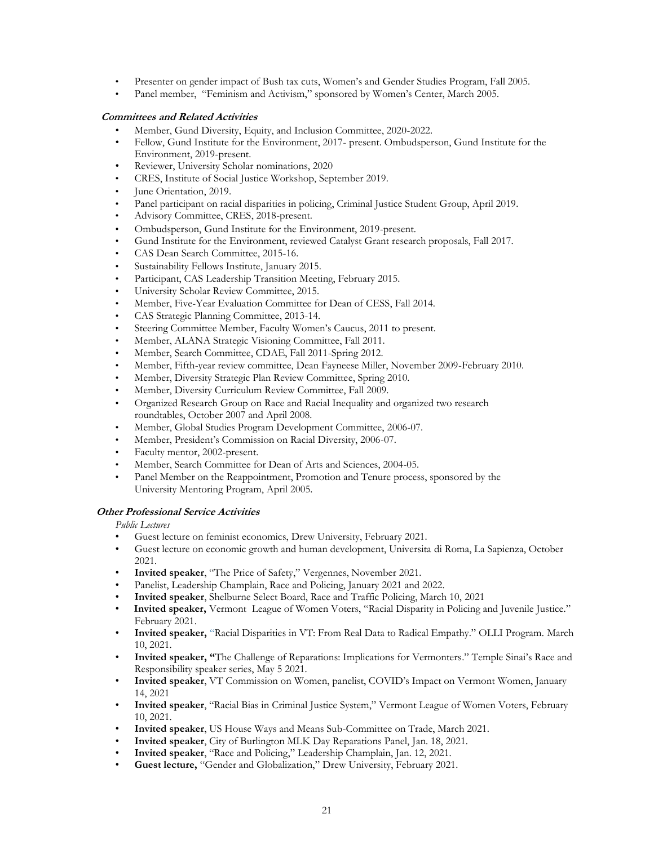- Presenter on gender impact of Bush tax cuts, Women's and Gender Studies Program, Fall 2005.
- Panel member, "Feminism and Activism," sponsored by Women's Center, March 2005.

#### **Committees and Related Activities**

- Member, Gund Diversity, Equity, and Inclusion Committee, 2020-2022.
- Fellow, Gund Institute for the Environment, 2017- present. Ombudsperson, Gund Institute for the Environment, 2019-present.
- Reviewer, University Scholar nominations, 2020
- CRES, Institute of Social Justice Workshop, September 2019.
- June Orientation, 2019.
- Panel participant on racial disparities in policing, Criminal Justice Student Group, April 2019.
- Advisory Committee, CRES, 2018-present.
- Ombudsperson, Gund Institute for the Environment, 2019-present.
- Gund Institute for the Environment, reviewed Catalyst Grant research proposals, Fall 2017.
- CAS Dean Search Committee, 2015-16.
- Sustainability Fellows Institute, January 2015.
- Participant, CAS Leadership Transition Meeting, February 2015.
- University Scholar Review Committee, 2015.
- Member, Five-Year Evaluation Committee for Dean of CESS, Fall 2014.
- CAS Strategic Planning Committee, 2013-14.
- Steering Committee Member, Faculty Women's Caucus, 2011 to present.
- Member, ALANA Strategic Visioning Committee, Fall 2011.
- Member, Search Committee, CDAE, Fall 2011-Spring 2012.
- Member, Fifth-year review committee, Dean Fayneese Miller, November 2009-February 2010.
- Member, Diversity Strategic Plan Review Committee, Spring 2010.
- Member, Diversity Curriculum Review Committee, Fall 2009.
- Organized Research Group on Race and Racial Inequality and organized two research roundtables, October 2007 and April 2008.
- Member, Global Studies Program Development Committee, 2006-07.
- Member, President's Commission on Racial Diversity, 2006-07.
- Faculty mentor, 2002-present.
- Member, Search Committee for Dean of Arts and Sciences, 2004-05.
- Panel Member on the Reappointment, Promotion and Tenure process, sponsored by the University Mentoring Program, April 2005.

#### **Other Professional Service Activities**

#### *Public Lectures*

- Guest lecture on feminist economics, Drew University, February 2021.
- Guest lecture on economic growth and human development, Universita di Roma, La Sapienza, October 2021.
- **Invited speaker**, "The Price of Safety," Vergennes, November 2021.
- Panelist, Leadership Champlain, Race and Policing, January 2021 and 2022.
- **Invited speaker**, Shelburne Select Board, Race and Traffic Policing, March 10, 2021
- **Invited speaker,** Vermont League of Women Voters, "Racial Disparity in Policing and Juvenile Justice." February 2021.
- **Invited speaker,** "Racial Disparities in VT: From Real Data to Radical Empathy." OLLI Program. March 10, 2021.
- **Invited speaker, "**The Challenge of Reparations: Implications for Vermonters." Temple Sinai's Race and Responsibility speaker series, May 5 2021.
- **Invited speaker**, VT Commission on Women, panelist, COVID's Impact on Vermont Women, January 14, 2021
- **Invited speaker**, "Racial Bias in Criminal Justice System," Vermont League of Women Voters, February 10, 2021.
- **Invited speaker**, US House Ways and Means Sub-Committee on Trade, March 2021.
- **Invited speaker**, City of Burlington MLK Day Reparations Panel, Jan. 18, 2021.
- **Invited speaker**, "Race and Policing," Leadership Champlain, Jan. 12, 2021.
- **Guest lecture,** "Gender and Globalization," Drew University, February 2021.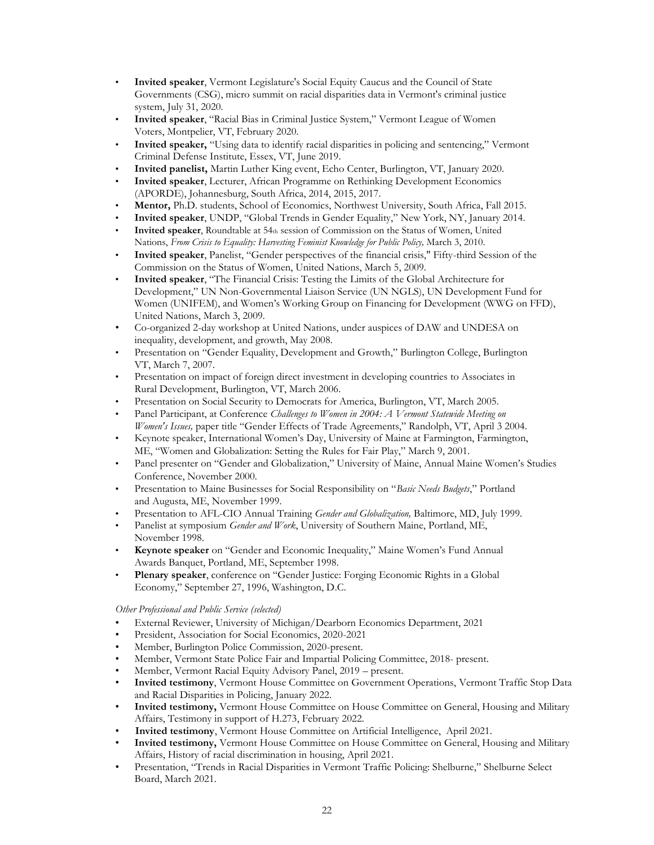- **Invited speaker**, Vermont Legislature's Social Equity Caucus and the Council of State Governments (CSG), micro summit on racial disparities data in Vermont's criminal justice system, July 31, 2020.
- **Invited speaker**, "Racial Bias in Criminal Justice System," Vermont League of Women Voters, Montpelier, VT, February 2020.
- **Invited speaker,** "Using data to identify racial disparities in policing and sentencing," Vermont Criminal Defense Institute, Essex, VT, June 2019.
- **Invited panelist,** Martin Luther King event, Echo Center, Burlington, VT, January 2020.
- **Invited speaker**, Lecturer, African Programme on Rethinking Development Economics (APORDE), Johannesburg, South Africa, 2014, 2015, 2017.
- **Mentor,** Ph.D. students, School of Economics, Northwest University, South Africa, Fall 2015.
- **Invited speaker**, UNDP, "Global Trends in Gender Equality," New York, NY, January 2014.
- **Invited speaker**, Roundtable at 54th session of Commission on the Status of Women, United Nations, *From Crisis to Equality: Harvesting Feminist Knowledge for Public Policy,* March 3, 2010.
- **Invited speaker**, Panelist, "Gender perspectives of the financial crisis," Fifty-third Session of the Commission on the Status of Women, United Nations, March 5, 2009.
- **Invited speaker**, "The Financial Crisis: Testing the Limits of the Global Architecture for Development," UN Non-Governmental Liaison Service (UN NGLS), UN Development Fund for Women (UNIFEM), and Women's Working Group on Financing for Development (WWG on FFD), United Nations, March 3, 2009.
- Co-organized 2-day workshop at United Nations, under auspices of DAW and UNDESA on inequality, development, and growth, May 2008.
- Presentation on "Gender Equality, Development and Growth," Burlington College, Burlington VT, March 7, 2007.
- Presentation on impact of foreign direct investment in developing countries to Associates in Rural Development, Burlington, VT, March 2006.
- Presentation on Social Security to Democrats for America, Burlington, VT, March 2005.
- Panel Participant, at Conference *Challenges to Women in 2004: A Vermont Statewide Meeting on Women's Issues,* paper title "Gender Effects of Trade Agreements," Randolph, VT, April 3 2004.
- Keynote speaker, International Women's Day, University of Maine at Farmington, Farmington, ME, "Women and Globalization: Setting the Rules for Fair Play," March 9, 2001.
- Panel presenter on "Gender and Globalization," University of Maine, Annual Maine Women's Studies Conference, November 2000.
- Presentation to Maine Businesses for Social Responsibility on "*Basic Needs Budgets*," Portland and Augusta, ME, November 1999.
- Presentation to AFL-CIO Annual Training *Gender and Globalization,* Baltimore, MD, July 1999.
- Panelist at symposium *Gender and Work*, University of Southern Maine, Portland, ME, November 1998.
- **Keynote speaker** on "Gender and Economic Inequality," Maine Women's Fund Annual Awards Banquet, Portland, ME, September 1998.
- **Plenary speaker**, conference on "Gender Justice: Forging Economic Rights in a Global Economy," September 27, 1996, Washington, D.C.

#### *Other Professional and Public Service (selected)*

- External Reviewer, University of Michigan/Dearborn Economics Department, 2021
- President, Association for Social Economics, 2020-2021
- Member, Burlington Police Commission, 2020-present.
- Member, Vermont State Police Fair and Impartial Policing Committee, 2018- present.
- Member, Vermont Racial Equity Advisory Panel, 2019 present.
- **Invited testimony**, Vermont House Committee on Government Operations, Vermont Traffic Stop Data and Racial Disparities in Policing, January 2022.
- **Invited testimony,** Vermont House Committee on House Committee on General, Housing and Military Affairs, Testimony in support of H.273, February 2022.
- • **Invited testimony**, Vermont House Committee on Artificial Intelligence, April 2021.
- **Invited testimony,** Vermont House Committee on House Committee on General, Housing and Military Affairs, History of racial discrimination in housing, April 2021.
- Presentation, "Trends in Racial Disparities in Vermont Traffic Policing: Shelburne," Shelburne Select Board, March 2021.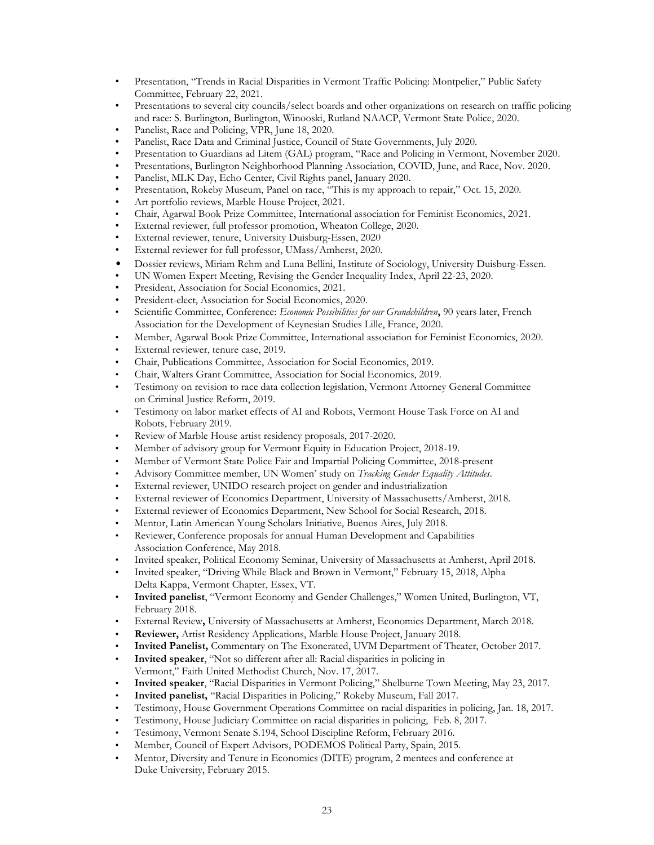- Presentation, "Trends in Racial Disparities in Vermont Traffic Policing: Montpelier," Public Safety Committee, February 22, 2021.
- Presentations to several city councils/select boards and other organizations on research on traffic policing and race: S. Burlington, Burlington, Winooski, Rutland NAACP, Vermont State Police, 2020.
- Panelist, Race and Policing, VPR, June 18, 2020.
- Panelist, Race Data and Criminal Justice, Council of State Governments, July 2020.
- Presentation to Guardians ad Litem (GAL) program, "Race and Policing in Vermont, November 2020.
- Presentations, Burlington Neighborhood Planning Association, COVID, June, and Race, Nov. 2020.
- Panelist, MLK Day, Echo Center, Civil Rights panel, January 2020.
- Presentation, Rokeby Museum, Panel on race, "This is my approach to repair," Oct. 15, 2020.
- Art portfolio reviews, Marble House Project, 2021.
- Chair, Agarwal Book Prize Committee, International association for Feminist Economics, 2021.
- External reviewer, full professor promotion, Wheaton College, 2020.
- External reviewer, tenure, University Duisburg-Essen, 2020
- External reviewer for full professor, UMass/Amherst, 2020.
- Dossier reviews, Miriam Rehm and Luna Bellini, Institute of Sociology, University Duisburg-Essen.
- UN Women Expert Meeting, Revising the Gender Inequality Index, April 22-23, 2020.
- President, Association for Social Economics, 2021.
- President-elect, Association for Social Economics, 2020.
- Scientific Committee, Conference: *Economic Possibilities for our Grandchildren***,** 90 years later, French Association for the Development of Keynesian Studies Lille, France, 2020.
- Member, Agarwal Book Prize Committee, International association for Feminist Economics, 2020.
- External reviewer, tenure case, 2019.
- Chair, Publications Committee, Association for Social Economics, 2019.
- Chair, Walters Grant Committee, Association for Social Economics, 2019.
- Testimony on revision to race data collection legislation, Vermont Attorney General Committee on Criminal Justice Reform, 2019.
- Testimony on labor market effects of AI and Robots, Vermont House Task Force on AI and Robots, February 2019.
- Review of Marble House artist residency proposals, 2017-2020.
- Member of advisory group for Vermont Equity in Education Project, 2018-19.
- Member of Vermont State Police Fair and Impartial Policing Committee, 2018-present
- Advisory Committee member, UN Women' study on *Tracking Gender Equality Attitudes*.
- External reviewer, UNIDO research project on gender and industrialization
- External reviewer of Economics Department, University of Massachusetts/Amherst, 2018.
- External reviewer of Economics Department, New School for Social Research, 2018.
- Mentor, Latin American Young Scholars Initiative, Buenos Aires, July 2018.
- Reviewer, Conference proposals for annual Human Development and Capabilities Association Conference, May 2018.
- Invited speaker, Political Economy Seminar, University of Massachusetts at Amherst, April 2018.
- Invited speaker, "Driving While Black and Brown in Vermont," February 15, 2018, Alpha Delta Kappa, Vermont Chapter, Essex, VT.
- **Invited panelist**, "Vermont Economy and Gender Challenges," Women United, Burlington, VT, February 2018.
- External Review**,** University of Massachusetts at Amherst, Economics Department, March 2018.
- **Reviewer,** Artist Residency Applications, Marble House Project, January 2018.
- **Invited Panelist,** Commentary on The Exonerated, UVM Department of Theater, October 2017.
- **Invited speaker**, "Not so different after all: Racial disparities in policing in Vermont," Faith United Methodist Church, Nov. 17, 2017.
- **Invited speaker**, "Racial Disparities in Vermont Policing," Shelburne Town Meeting, May 23, 2017.
- **Invited panelist,** "Racial Disparities in Policing," Rokeby Museum, Fall 2017.
- Testimony, House Government Operations Committee on racial disparities in policing, Jan. 18, 2017.
- Testimony, House Judiciary Committee on racial disparities in policing, Feb. 8, 2017.
- Testimony, Vermont Senate S.194, School Discipline Reform, February 2016.
- Member, Council of Expert Advisors, PODEMOS Political Party, Spain, 2015.
- Mentor, Diversity and Tenure in Economics (DITE) program, 2 mentees and conference at Duke University, February 2015.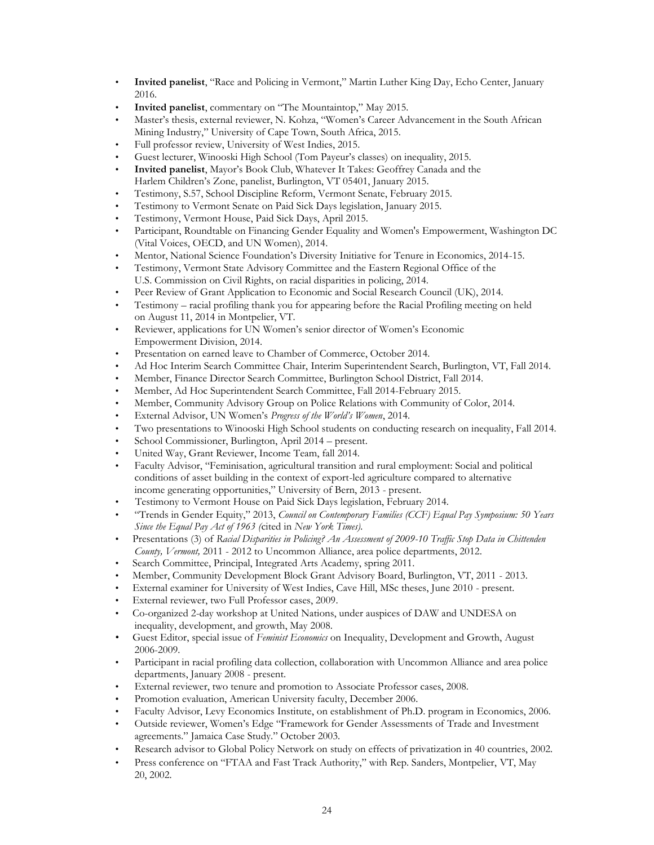- **Invited panelist**, "Race and Policing in Vermont," Martin Luther King Day, Echo Center, January 2016.
- **Invited panelist**, commentary on "The Mountaintop," May 2015.
- Master's thesis, external reviewer, N. Kohza, "Women's Career Advancement in the South African Mining Industry," University of Cape Town, South Africa, 2015.
- Full professor review, University of West Indies, 2015.
- Guest lecturer, Winooski High School (Tom Payeur's classes) on inequality, 2015.
- **Invited panelist**, Mayor's Book Club, Whatever It Takes: Geoffrey Canada and the Harlem Children's Zone, panelist, Burlington, VT 05401, January 2015.
- Testimony, S.57, School Discipline Reform, Vermont Senate, February 2015.
- Testimony to Vermont Senate on Paid Sick Days legislation, January 2015.
- Testimony, Vermont House, Paid Sick Days, April 2015.
- Participant, Roundtable on Financing Gender Equality and Women's Empowerment, Washington DC (Vital Voices, OECD, and UN Women), 2014.
- Mentor, National Science Foundation's Diversity Initiative for Tenure in Economics, 2014-15.
- Testimony, Vermont State Advisory Committee and the Eastern Regional Office of the U.S. Commission on Civil Rights, on racial disparities in policing, 2014.
- Peer Review of Grant Application to Economic and Social Research Council (UK), 2014.
- Testimony racial profiling thank you for appearing before the Racial Profiling meeting on held on August 11, 2014 in Montpelier, VT.
- Reviewer, applications for UN Women's senior director of Women's Economic Empowerment Division, 2014.
- Presentation on earned leave to Chamber of Commerce, October 2014.
- Ad Hoc Interim Search Committee Chair, Interim Superintendent Search, Burlington, VT, Fall 2014.
- Member, Finance Director Search Committee, Burlington School District, Fall 2014.
- Member, Ad Hoc Superintendent Search Committee, Fall 2014-February 2015.
- Member, Community Advisory Group on Police Relations with Community of Color, 2014.
- External Advisor, UN Women's *Progress of the World's Women*, 2014.
- Two presentations to Winooski High School students on conducting research on inequality, Fall 2014.
- School Commissioner, Burlington, April 2014 present.
- United Way, Grant Reviewer, Income Team, fall 2014.
- Faculty Advisor, "Feminisation, agricultural transition and rural employment: Social and political conditions of asset building in the context of export-led agriculture compared to alternative income generating opportunities," University of Bern, 2013 - present.
- Testimony to Vermont House on Paid Sick Days legislation, February 2014.
- "Trends in Gender Equity," 2013, *Council on Contemporary Families (CCF) Equal Pay Symposium: 50 Years Since the Equal Pay Act of 1963 (*cited in *New York Times).*
- Presentations (3) of *Racial Disparities in Policing? An Assessment of 2009-10 Traffic Stop Data in Chittenden County, Vermont,* 2011 - 2012 to Uncommon Alliance, area police departments, 2012.
- Search Committee, Principal, Integrated Arts Academy, spring 2011.
- Member, Community Development Block Grant Advisory Board, Burlington, VT, 2011 2013.
- External examiner for University of West Indies, Cave Hill, MSc theses, June 2010 present.
- External reviewer, two Full Professor cases, 2009.
- Co-organized 2-day workshop at United Nations, under auspices of DAW and UNDESA on inequality, development, and growth, May 2008.
- Guest Editor, special issue of *Feminist Economics* on Inequality, Development and Growth, August 2006-2009.
- Participant in racial profiling data collection, collaboration with Uncommon Alliance and area police departments, January 2008 - present.
- External reviewer, two tenure and promotion to Associate Professor cases, 2008.
- Promotion evaluation, American University faculty, December 2006.
- Faculty Advisor, Levy Economics Institute, on establishment of Ph.D. program in Economics, 2006.
- Outside reviewer, Women's Edge "Framework for Gender Assessments of Trade and Investment agreements." Jamaica Case Study." October 2003.
- Research advisor to Global Policy Network on study on effects of privatization in 40 countries, 2002.
- Press conference on "FTAA and Fast Track Authority," with Rep. Sanders, Montpelier, VT, May 20, 2002.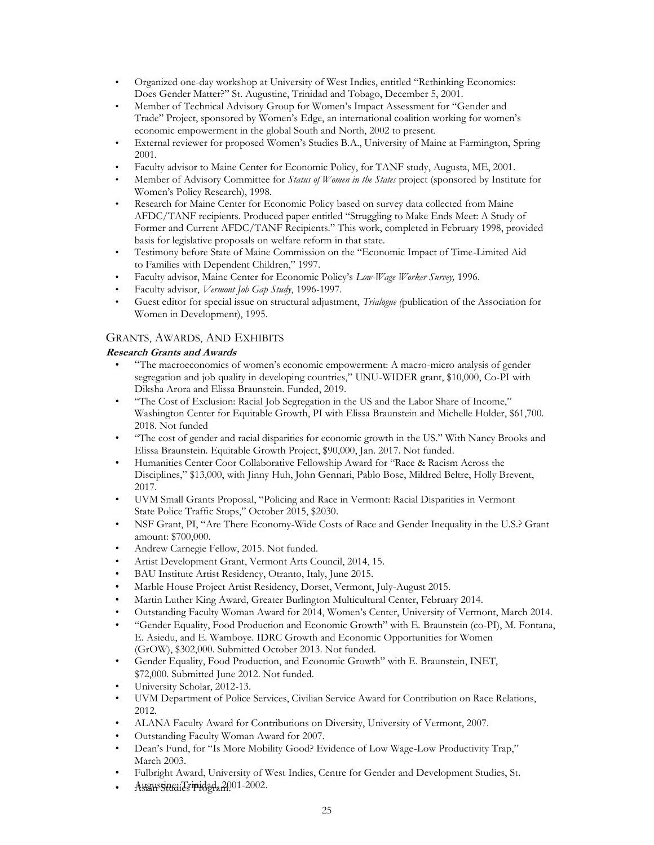- Organized one-day workshop at University of West Indies, entitled "Rethinking Economics: Does Gender Matter?" St. Augustine, Trinidad and Tobago, December 5, 2001.
- Member of Technical Advisory Group for Women's Impact Assessment for "Gender and Trade" Project, sponsored by Women's Edge, an international coalition working for women's economic empowerment in the global South and North, 2002 to present.
- External reviewer for proposed Women's Studies B.A., University of Maine at Farmington, Spring 2001.
- Faculty advisor to Maine Center for Economic Policy, for TANF study, Augusta, ME, 2001.
- Member of Advisory Committee for *Status of Women in the States* project (sponsored by Institute for Women's Policy Research), 1998.
- Research for Maine Center for Economic Policy based on survey data collected from Maine AFDC/TANF recipients. Produced paper entitled "Struggling to Make Ends Meet: A Study of Former and Current AFDC/TANF Recipients." This work, completed in February 1998, provided basis for legislative proposals on welfare reform in that state.
- Testimony before State of Maine Commission on the "Economic Impact of Time-Limited Aid to Families with Dependent Children," 1997.
- Faculty advisor, Maine Center for Economic Policy's *Low-Wage Worker Survey,* 1996.
- Faculty advisor, *Vermont Job Gap Study*, 1996-1997.
- Guest editor for special issue on structural adjustment, *Trialogue (*publication of the Association for Women in Development), 1995.

# GRANTS, AWARDS, AND EXHIBITS

# **Research Grants and Awards**

- "The macroeconomics of women's economic empowerment: A macro-micro analysis of gender segregation and job quality in developing countries," UNU-WIDER grant, \$10,000, Co-PI with Diksha Arora and Elissa Braunstein. Funded, 2019.
- "The Cost of Exclusion: Racial Job Segregation in the US and the Labor Share of Income," Washington Center for Equitable Growth, PI with Elissa Braunstein and Michelle Holder, \$61,700. 2018. Not funded
- "The cost of gender and racial disparities for economic growth in the US." With Nancy Brooks and Elissa Braunstein. Equitable Growth Project, \$90,000, Jan. 2017. Not funded.
- Humanities Center Coor Collaborative Fellowship Award for "Race & Racism Across the Disciplines," \$13,000, with Jinny Huh, John Gennari, Pablo Bose, Mildred Beltre, Holly Brevent, 2017.
- UVM Small Grants Proposal, "Policing and Race in Vermont: Racial Disparities in Vermont State Police Traffic Stops," October 2015, \$2030.
- NSF Grant, PI, "Are There Economy-Wide Costs of Race and Gender Inequality in the U.S.? Grant amount: \$700,000.
- Andrew Carnegie Fellow, 2015. Not funded.
- Artist Development Grant, Vermont Arts Council, 2014, 15.
- BAU Institute Artist Residency, Otranto, Italy, June 2015.
- Marble House Project Artist Residency, Dorset, Vermont, July-August 2015.
- Martin Luther King Award, Greater Burlington Multicultural Center, February 2014.
- Outstanding Faculty Woman Award for 2014, Women's Center, University of Vermont, March 2014.
- "Gender Equality, Food Production and Economic Growth" with E. Braunstein (co-PI), M. Fontana, E. Asiedu, and E. Wamboye. IDRC Growth and Economic Opportunities for Women (GrOW), \$302,000. Submitted October 2013. Not funded.
- Gender Equality, Food Production, and Economic Growth" with E. Braunstein, INET, \$72,000. Submitted June 2012. Not funded.
- University Scholar, 2012-13.
- UVM Department of Police Services, Civilian Service Award for Contribution on Race Relations, 2012.
- ALANA Faculty Award for Contributions on Diversity, University of Vermont, 2007.
- Outstanding Faculty Woman Award for 2007.
- Dean's Fund, for "Is More Mobility Good? Evidence of Low Wage-Low Productivity Trap," March 2003.
- Fulbright Award, University of West Indies, Centre for Gender and Development Studies, St.
- Augustine, Tripidad, 2001-2002.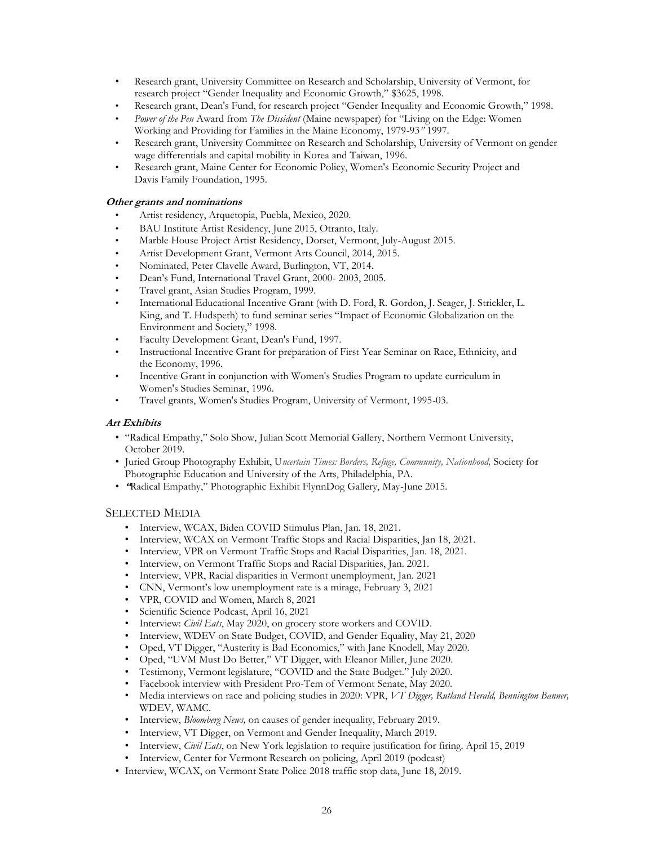- Research grant, University Committee on Research and Scholarship, University of Vermont, for research project "Gender Inequality and Economic Growth," \$3625, 1998.
- Research grant, Dean's Fund, for research project "Gender Inequality and Economic Growth," 1998.
- *Power of the Pen* Award from *The Dissident* (Maine newspaper) for "Living on the Edge: Women Working and Providing for Families in the Maine Economy, 1979-93*"* 1997.
- Research grant, University Committee on Research and Scholarship, University of Vermont on gender wage differentials and capital mobility in Korea and Taiwan, 1996.
- Research grant, Maine Center for Economic Policy, Women's Economic Security Project and Davis Family Foundation, 1995.

#### **Other grants and nominations**

- Artist residency, Arquetopia, Puebla, Mexico, 2020.
- BAU Institute Artist Residency, June 2015, Otranto, Italy.
- Marble House Project Artist Residency, Dorset, Vermont, July-August 2015.
- Artist Development Grant, Vermont Arts Council, 2014, 2015.
- Nominated, Peter Clavelle Award, Burlington, VT, 2014.
- Dean's Fund, International Travel Grant, 2000- 2003, 2005.
- Travel grant, Asian Studies Program, 1999.
- International Educational Incentive Grant (with D. Ford, R. Gordon, J. Seager, J. Strickler, L. King, and T. Hudspeth) to fund seminar series "Impact of Economic Globalization on the Environment and Society," 1998.
- Faculty Development Grant, Dean's Fund, 1997.
- Instructional Incentive Grant for preparation of First Year Seminar on Race, Ethnicity, and the Economy, 1996.
- Incentive Grant in conjunction with Women's Studies Program to update curriculum in Women's Studies Seminar, 1996.
- Travel grants, Women's Studies Program, University of Vermont, 1995-03.

#### **Art Exhibits**

- "Radical Empathy," Solo Show, Julian Scott Memorial Gallery, Northern Vermont University, October 2019.
- Juried Group Photography Exhibit, U*ncertain Times: Borders, Refuge, Community, Nationhood,* Society for Photographic Education and University of the Arts, Philadelphia, PA.
- **"**Radical Empathy," Photographic Exhibit FlynnDog Gallery, May-June 2015.

## SELECTED MEDIA

- Interview, WCAX, Biden COVID Stimulus Plan, Jan. 18, 2021.
- Interview, WCAX on Vermont Traffic Stops and Racial Disparities, Jan 18, 2021.
- Interview, VPR on Vermont Traffic Stops and Racial Disparities, Jan. 18, 2021.
- Interview, on Vermont Traffic Stops and Racial Disparities, Jan. 2021.
- Interview, VPR, Racial disparities in Vermont unemployment, Jan. 2021
- CNN, Vermont's low unemployment rate is a mirage, February 3, 2021
- VPR, COVID and Women, March 8, 2021
- Scientific Science Podcast, April 16, 2021
- Interview: *Civil Eats*, May 2020, on grocery store workers and COVID.
- Interview, WDEV on State Budget, COVID, and Gender Equality, May 21, 2020
- Oped, VT Digger, "Austerity is Bad Economics," with Jane Knodell, May 2020.
- Oped, "UVM Must Do Better," VT Digger, with Eleanor Miller, June 2020.
- Testimony, Vermont legislature, "COVID and the State Budget." July 2020.
- Facebook interview with President Pro-Tem of Vermont Senate, May 2020.
- Media interviews on race and policing studies in 2020: VPR, *VT Digger, Rutland Herald, Bennington Banner,*  WDEV, WAMC.
- Interview, *Bloomberg News,* on causes of gender inequality, February 2019.
- Interview, VT Digger, on Vermont and Gender Inequality, March 2019.
- Interview, *Civil Eats*, on New York legislation to require justification for firing. April 15, 2019
- Interview, Center for Vermont Research on policing, April 2019 (podcast)
- Interview, WCAX, on Vermont State Police 2018 traffic stop data, June 18, 2019.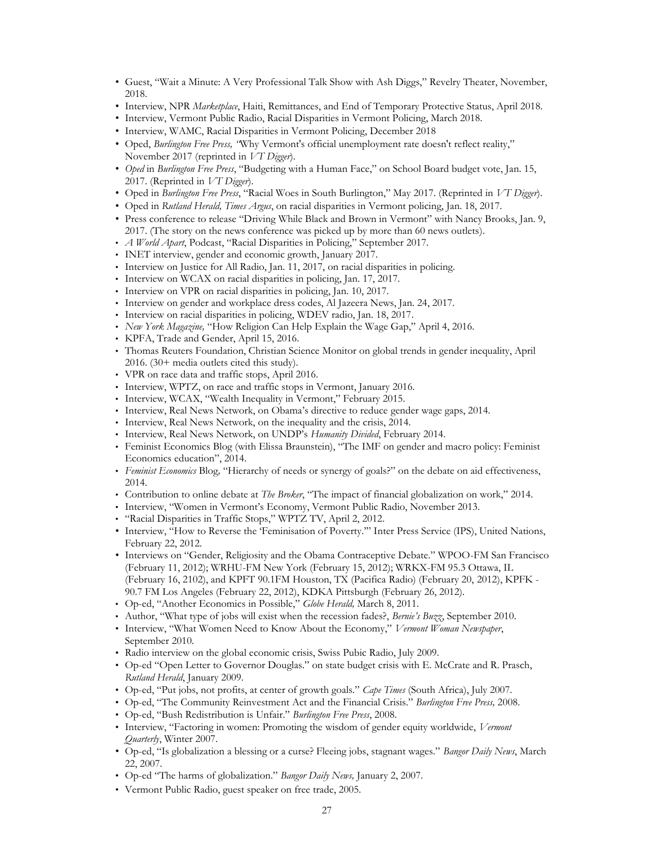- Guest, "Wait a Minute: A Very Professional Talk Show with Ash Diggs," Revelry Theater, November, 2018.
- Interview, NPR *Marketplace*, Haiti, Remittances, and End of Temporary Protective Status, April 2018.
- Interview, Vermont Public Radio, Racial Disparities in Vermont Policing, March 2018.
- Interview, WAMC, Racial Disparities in Vermont Policing, December 2018
- Oped, *Burlington Free Press, "*Why Vermont's official unemployment rate doesn't reflect reality," November 2017 (reprinted in *VT Digger*).
- *Oped* in *Burlington Free Press*, "Budgeting with a Human Face," on School Board budget vote, Jan. 15, 2017. (Reprinted in *VT Digger*).
- Oped in *Burlington Free Press*, "Racial Woes in South Burlington," May 2017. (Reprinted in *VT Digger*).
- Oped in *Rutland Herald, Times Argus*, on racial disparities in Vermont policing, Jan. 18, 2017.
- Press conference to release "Driving While Black and Brown in Vermont" with Nancy Brooks, Jan. 9, 2017. (The story on the news conference was picked up by more than 60 news outlets).
- *A World Apart*, Podcast, "Racial Disparities in Policing," September 2017.
- INET interview, gender and economic growth, January 2017.
- Interview on Justice for All Radio, Jan. 11, 2017, on racial disparities in policing.
- Interview on WCAX on racial disparities in policing, Jan. 17, 2017.
- Interview on VPR on racial disparities in policing, Jan. 10, 2017.
- Interview on gender and workplace dress codes, Al Jazeera News, Jan. 24, 2017.
- Interview on racial disparities in policing, WDEV radio, Jan. 18, 2017.
- *New York Magazine,* "How Religion Can Help Explain the Wage Gap," April 4, 2016.
- KPFA, Trade and Gender, April 15, 2016.
- Thomas Reuters Foundation, Christian Science Monitor on global trends in gender inequality, April 2016. (30+ media outlets cited this study).
- VPR on race data and traffic stops, April 2016.
- Interview, WPTZ, on race and traffic stops in Vermont, January 2016.
- Interview, WCAX, "Wealth Inequality in Vermont," February 2015.
- Interview, Real News Network, on Obama's directive to reduce gender wage gaps, 2014.
- Interview, Real News Network, on the inequality and the crisis, 2014.
- Interview, Real News Network, on UNDP's *Humanity Divided*, February 2014.
- Feminist Economics Blog (with Elissa Braunstein), "The IMF on gender and macro policy: Feminist Economics education", 2014.
- *Feminist Economics* Blog*,* "Hierarchy of needs or synergy of goals?" on the debate on aid effectiveness, 2014.
- Contribution to online debate at *The Broker*, "The impact of financial globalization on work," 2014.
- Interview, "Women in Vermont's Economy, Vermont Public Radio, November 2013.
- "Racial Disparities in Traffic Stops," WPTZ TV, April 2, 2012.
- Interview, "How to Reverse the 'Feminisation of Poverty.'" Inter Press Service (IPS), United Nations, February 22, 2012.
- Interviews on "Gender, Religiosity and the Obama Contraceptive Debate." WPOO-FM San Francisco (February 11, 2012); WRHU-FM New York (February 15, 2012); WRKX-FM 95.3 Ottawa, IL (February 16, 2102), and KPFT 90.1FM Houston, TX (Pacifica Radio) (February 20, 2012), KPFK - 90.7 FM Los Angeles (February 22, 2012), KDKA Pittsburgh (February 26, 2012).
- Op-ed, "Another Economics in Possible," *Globe Herald,* March 8, 2011.
- Author, "What type of jobs will exist when the recession fades?, *Bernie's Buzz*, September 2010.
- Interview, "What Women Need to Know About the Economy," *Vermont Woman Newspaper*, September 2010.
- Radio interview on the global economic crisis, Swiss Pubic Radio, July 2009.
- Op-ed "Open Letter to Governor Douglas." on state budget crisis with E. McCrate and R. Prasch, *Rutland Herald*, January 2009.
- Op-ed, "Put jobs, not profits, at center of growth goals." *Cape Times* (South Africa), July 2007.
- Op-ed, "The Community Reinvestment Act and the Financial Crisis." *Burlington Free Press,* 2008.
- Op-ed, "Bush Redistribution is Unfair." *Burlington Free Press*, 2008.
- Interview, "Factoring in women: Promoting the wisdom of gender equity worldwide, *Vermont Quarterly*, Winter 2007.
- Op-ed, "Is globalization a blessing or a curse? Fleeing jobs, stagnant wages." *Bangor Daily News*, March 22, 2007.
- Op-ed "The harms of globalization." *Bangor Daily News,* January 2, 2007.
- Vermont Public Radio, guest speaker on free trade, 2005.